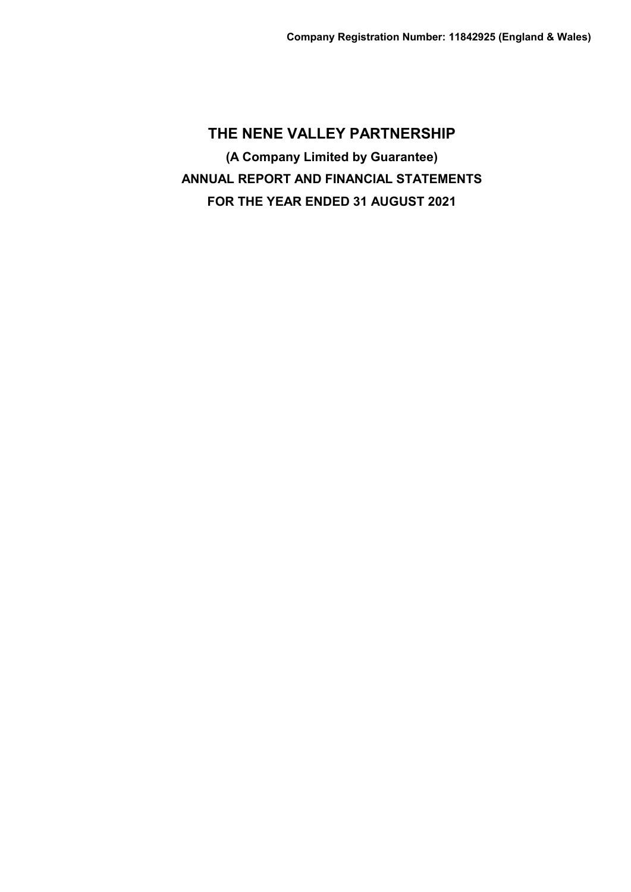**THE NENE VALLEY PARTNERSHIP (A Company Limited by Guarantee) ANNUAL REPORT AND FINANCIAL STATEMENTS FOR THE YEAR ENDED 31 AUGUST 2021**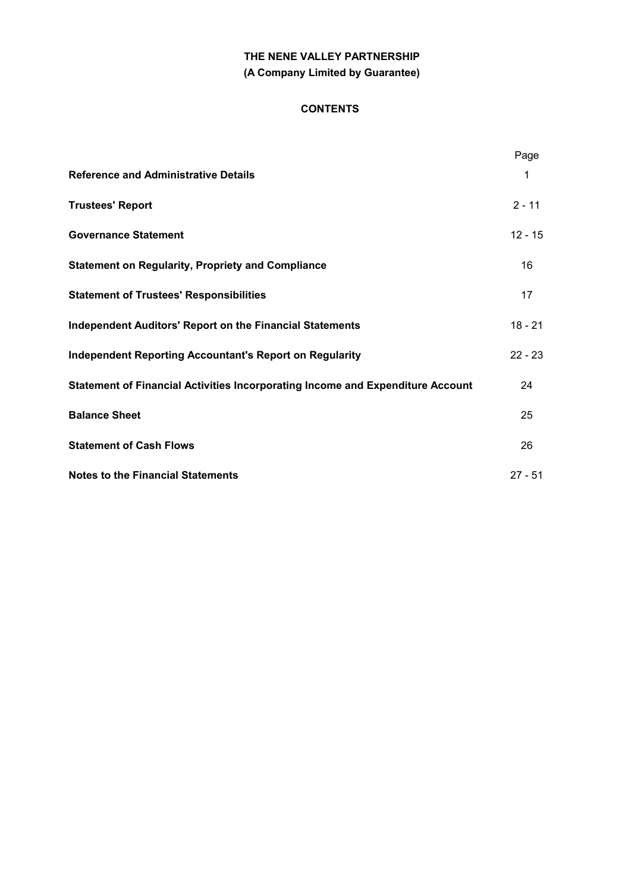# **THE NENE VALLEY PARTNERSHIP (A Company Limited by Guarantee)**

## **CONTENTS**

|                                                                                       | Page      |
|---------------------------------------------------------------------------------------|-----------|
| <b>Reference and Administrative Details</b>                                           | 1         |
| <b>Trustees' Report</b>                                                               | $2 - 11$  |
| <b>Governance Statement</b>                                                           | $12 - 15$ |
| <b>Statement on Regularity, Propriety and Compliance</b>                              | 16        |
| <b>Statement of Trustees' Responsibilities</b>                                        | 17        |
| <b>Independent Auditors' Report on the Financial Statements</b>                       | $18 - 21$ |
| <b>Independent Reporting Accountant's Report on Regularity</b>                        | $22 - 23$ |
| <b>Statement of Financial Activities Incorporating Income and Expenditure Account</b> | 24        |
| <b>Balance Sheet</b>                                                                  | 25        |
| <b>Statement of Cash Flows</b>                                                        | 26        |
| <b>Notes to the Financial Statements</b>                                              | $27 - 51$ |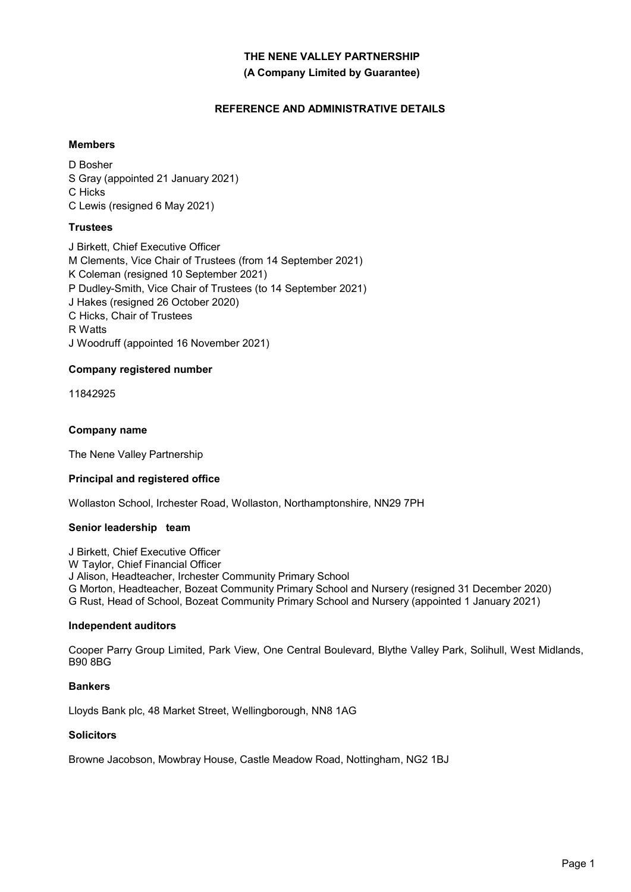### **(A Company Limited by Guarantee)**

# **REFERENCE AND ADMINISTRATIVE DETAILS**

# **Members**

D Bosher S Gray (appointed 21 January 2021) C Hicks C Lewis (resigned 6 May 2021)

# **Trustees**

J Birkett, Chief Executive Officer M Clements, Vice Chair of Trustees (from 14 September 2021) K Coleman (resigned 10 September 2021) P Dudley-Smith, Vice Chair of Trustees (to 14 September 2021) J Hakes (resigned 26 October 2020) C Hicks, Chair of Trustees R Watts J Woodruff (appointed 16 November 2021)

# **Company registered number**

11842925

### **Company name**

The Nene Valley Partnership

### **Principal and registered office**

Wollaston School, Irchester Road, Wollaston, Northamptonshire, NN29 7PH

### **Senior leadership team**

J Birkett, Chief Executive Officer W Taylor, Chief Financial Officer J Alison, Headteacher, Irchester Community Primary School G Morton, Headteacher, Bozeat Community Primary School and Nursery (resigned 31 December 2020) G Rust, Head of School, Bozeat Community Primary School and Nursery (appointed 1 January 2021)

### **Independent auditors**

Cooper Parry Group Limited, Park View, One Central Boulevard, Blythe Valley Park, Solihull, West Midlands, B90 8BG

### **Bankers**

Lloyds Bank plc, 48 Market Street, Wellingborough, NN8 1AG

### **Solicitors**

Browne Jacobson, Mowbray House, Castle Meadow Road, Nottingham, NG2 1BJ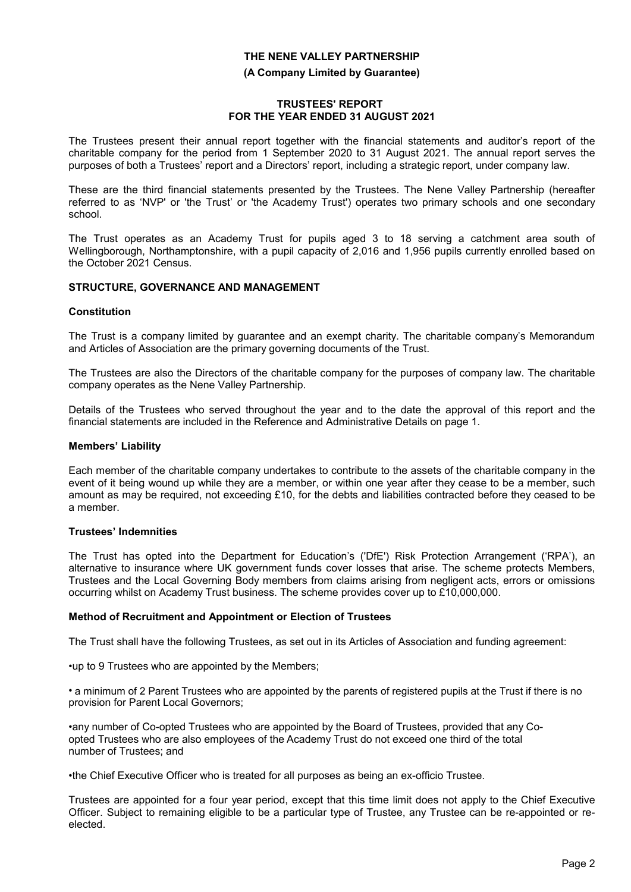#### **(A Company Limited by Guarantee)**

#### J **TRUSTEES' REPORT FOR THE YEAR ENDED 31 AUGUST 2021**

The Trustees present their annual report together with the financial statements and auditor's report of the charitable company for the period from 1 September 2020 to 31 August 2021. The annual report serves the purposes of both a Trustees' report and a Directors' report, including a strategic report, under company law.

These are the third financial statements presented by the Trustees. The Nene Valley Partnership (hereafter referred to as 'NVP' or 'the Trust' or 'the Academy Trust') operates two primary schools and one secondary school.

The Trust operates as an Academy Trust for pupils aged 3 to 18 serving a catchment area south of Wellingborough, Northamptonshire, with a pupil capacity of 2,016 and 1,956 pupils currently enrolled based on the October 2021 Census.

### **STRUCTURE, GOVERNANCE AND MANAGEMENT**

#### **Constitution**

The Trust is a company limited by guarantee and an exempt charity. The charitable company's Memorandum and Articles of Association are the primary governing documents of the Trust.

The Trustees are also the Directors of the charitable company for the purposes of company law. The charitable company operates as the Nene Valley Partnership.

Details of the Trustees who served throughout the year and to the date the approval of this report and the financial statements are included in the Reference and Administrative Details on page 1.

#### **Members' Liability**

Each member of the charitable company undertakes to contribute to the assets of the charitable company in the event of it being wound up while they are a member, or within one year after they cease to be a member, such amount as may be required, not exceeding £10, for the debts and liabilities contracted before they ceased to be a member.

#### **Trustees' Indemnities**

The Trust has opted into the Department for Education's ('DfE') Risk Protection Arrangement ('RPA'), an alternative to insurance where UK government funds cover losses that arise. The scheme protects Members, Trustees and the Local Governing Body members from claims arising from negligent acts, errors or omissions occurring whilst on Academy Trust business. The scheme provides cover up to £10,000,000.

#### **Method of Recruitment and Appointment or Election of Trustees**

The Trust shall have the following Trustees, as set out in its Articles of Association and funding agreement:

•up to 9 Trustees who are appointed by the Members;

• a minimum of 2 Parent Trustees who are appointed by the parents of registered pupils at the Trust if there is no provision for Parent Local Governors;

•any number of Co-opted Trustees who are appointed by the Board of Trustees, provided that any Coopted Trustees who are also employees of the Academy Trust do not exceed one third of the total number of Trustees; and

•the Chief Executive Officer who is treated for all purposes as being an ex-officio Trustee.

Trustees are appointed for a four year period, except that this time limit does not apply to the Chief Executive Officer. Subject to remaining eligible to be a particular type of Trustee, any Trustee can be re-appointed or reelected.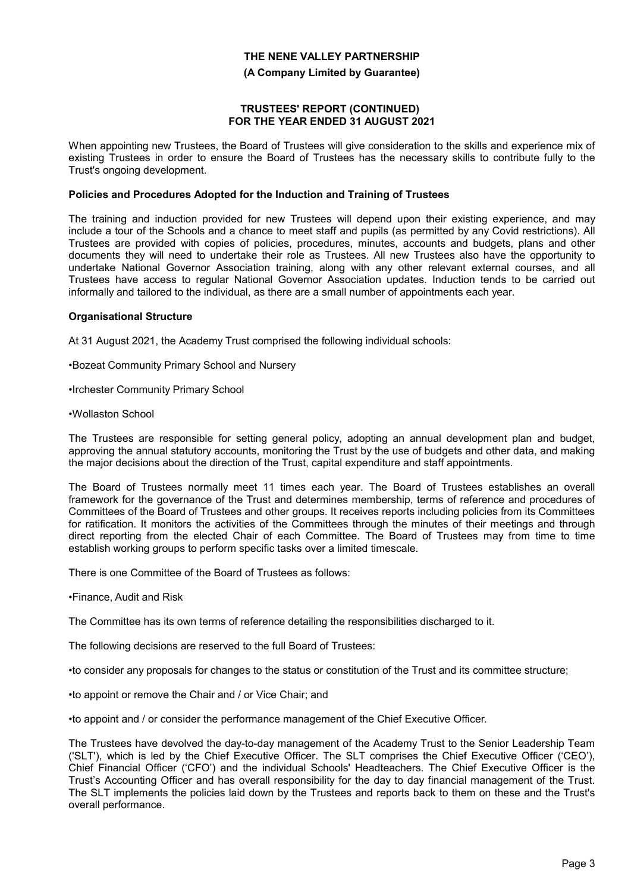#### **(A Company Limited by Guarantee)**

#### **TRUSTEES' REPORT (CONTINUED) FOR THE YEAR ENDED 31 AUGUST 2021**

When appointing new Trustees, the Board of Trustees will give consideration to the skills and experience mix of existing Trustees in order to ensure the Board of Trustees has the necessary skills to contribute fully to the Trust's ongoing development.

#### **Policies and Procedures Adopted for the Induction and Training of Trustees**

The training and induction provided for new Trustees will depend upon their existing experience, and may include a tour of the Schools and a chance to meet staff and pupils (as permitted by any Covid restrictions). All Trustees are provided with copies of policies, procedures, minutes, accounts and budgets, plans and other documents they will need to undertake their role as Trustees. All new Trustees also have the opportunity to undertake National Governor Association training, along with any other relevant external courses, and all Trustees have access to regular National Governor Association updates. Induction tends to be carried out informally and tailored to the individual, as there are a small number of appointments each year.

#### **Organisational Structure**

At 31 August 2021, the Academy Trust comprised the following individual schools:

- •Bozeat Community Primary School and Nursery
- •Irchester Community Primary School
- •Wollaston School

The Trustees are responsible for setting general policy, adopting an annual development plan and budget, approving the annual statutory accounts, monitoring the Trust by the use of budgets and other data, and making the major decisions about the direction of the Trust, capital expenditure and staff appointments.

The Board of Trustees normally meet 11 times each year. The Board of Trustees establishes an overall framework for the governance of the Trust and determines membership, terms of reference and procedures of Committees of the Board of Trustees and other groups. It receives reports including policies from its Committees for ratification. It monitors the activities of the Committees through the minutes of their meetings and through direct reporting from the elected Chair of each Committee. The Board of Trustees may from time to time establish working groups to perform specific tasks over a limited timescale.

There is one Committee of the Board of Trustees as follows:

•Finance, Audit and Risk

The Committee has its own terms of reference detailing the responsibilities discharged to it.

The following decisions are reserved to the full Board of Trustees:

•to consider any proposals for changes to the status or constitution of the Trust and its committee structure;

•to appoint or remove the Chair and / or Vice Chair; and

•to appoint and / or consider the performance management of the Chief Executive Officer.

The Trustees have devolved the day-to-day management of the Academy Trust to the Senior Leadership Team ('SLT'), which is led by the Chief Executive Officer. The SLT comprises the Chief Executive Officer ('CEO'), Chief Financial Officer ('CFO') and the individual Schools' Headteachers. The Chief Executive Officer is the Trust's Accounting Officer and has overall responsibility for the day to day financial management of the Trust. The SLT implements the policies laid down by the Trustees and reports back to them on these and the Trust's overall performance.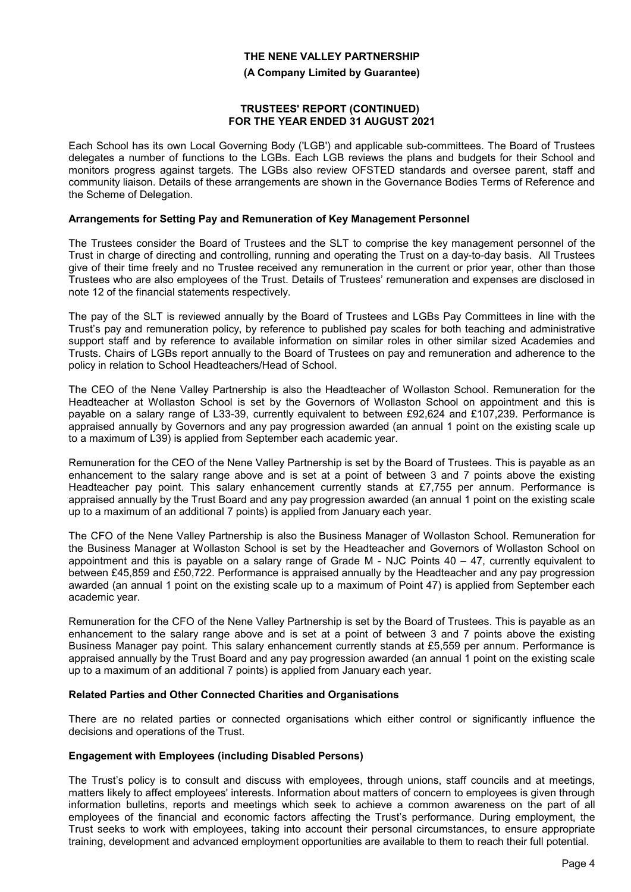#### **(A Company Limited by Guarantee)**

#### **TRUSTEES' REPORT (CONTINUED) FOR THE YEAR ENDED 31 AUGUST 2021**

Each School has its own Local Governing Body ('LGB') and applicable sub-committees. The Board of Trustees delegates a number of functions to the LGBs. Each LGB reviews the plans and budgets for their School and monitors progress against targets. The LGBs also review OFSTED standards and oversee parent, staff and community liaison. Details of these arrangements are shown in the Governance Bodies Terms of Reference and the Scheme of Delegation.

#### **Arrangements for Setting Pay and Remuneration of Key Management Personnel**

The Trustees consider the Board of Trustees and the SLT to comprise the key management personnel of the Trust in charge of directing and controlling, running and operating the Trust on a day-to-day basis. All Trustees give of their time freely and no Trustee received any remuneration in the current or prior year, other than those Trustees who are also employees of the Trust. Details of Trustees' remuneration and expenses are disclosed in note 12 of the financial statements respectively.

The pay of the SLT is reviewed annually by the Board of Trustees and LGBs Pay Committees in line with the Trust's pay and remuneration policy, by reference to published pay scales for both teaching and administrative support staff and by reference to available information on similar roles in other similar sized Academies and Trusts. Chairs of LGBs report annually to the Board of Trustees on pay and remuneration and adherence to the policy in relation to School Headteachers/Head of School.

The CEO of the Nene Valley Partnership is also the Headteacher of Wollaston School. Remuneration for the Headteacher at Wollaston School is set by the Governors of Wollaston School on appointment and this is payable on a salary range of L33-39, currently equivalent to between £92,624 and £107,239. Performance is appraised annually by Governors and any pay progression awarded (an annual 1 point on the existing scale up to a maximum of L39) is applied from September each academic year.

Remuneration for the CEO of the Nene Valley Partnership is set by the Board of Trustees. This is payable as an enhancement to the salary range above and is set at a point of between 3 and 7 points above the existing Headteacher pay point. This salary enhancement currently stands at £7,755 per annum. Performance is appraised annually by the Trust Board and any pay progression awarded (an annual 1 point on the existing scale up to a maximum of an additional 7 points) is applied from January each year.

The CFO of the Nene Valley Partnership is also the Business Manager of Wollaston School. Remuneration for the Business Manager at Wollaston School is set by the Headteacher and Governors of Wollaston School on appointment and this is payable on a salary range of Grade M - NJC Points 40 – 47, currently equivalent to between £45,859 and £50,722. Performance is appraised annually by the Headteacher and any pay progression awarded (an annual 1 point on the existing scale up to a maximum of Point 47) is applied from September each academic year.

Remuneration for the CFO of the Nene Valley Partnership is set by the Board of Trustees. This is payable as an enhancement to the salary range above and is set at a point of between 3 and 7 points above the existing Business Manager pay point. This salary enhancement currently stands at £5,559 per annum. Performance is appraised annually by the Trust Board and any pay progression awarded (an annual 1 point on the existing scale up to a maximum of an additional 7 points) is applied from January each year.

#### **Related Parties and Other Connected Charities and Organisations**

There are no related parties or connected organisations which either control or significantly influence the decisions and operations of the Trust.

#### **Engagement with Employees (including Disabled Persons)**

The Trust's policy is to consult and discuss with employees, through unions, staff councils and at meetings, matters likely to affect employees' interests. Information about matters of concern to employees is given through information bulletins, reports and meetings which seek to achieve a common awareness on the part of all employees of the financial and economic factors affecting the Trust's performance. During employment, the Trust seeks to work with employees, taking into account their personal circumstances, to ensure appropriate training, development and advanced employment opportunities are available to them to reach their full potential.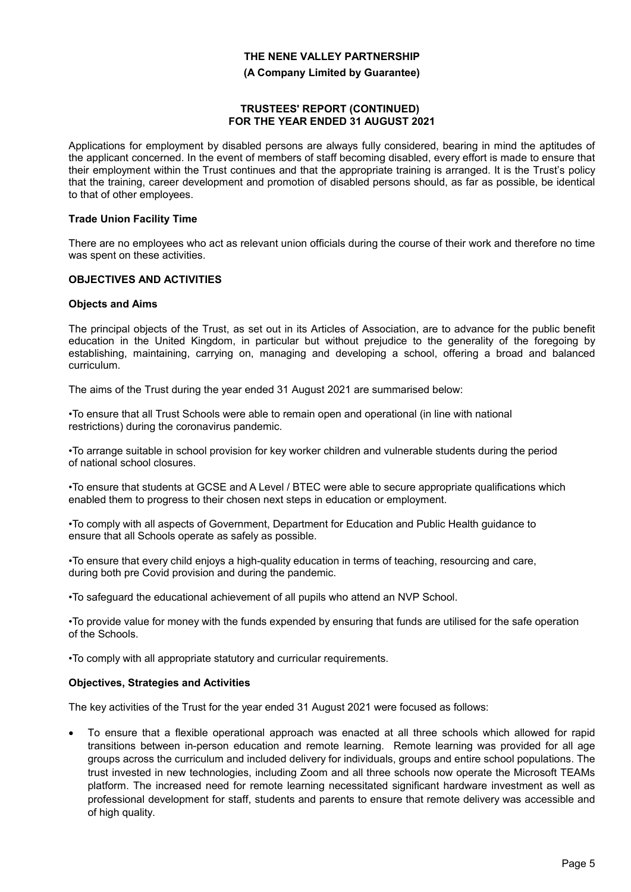#### **(A Company Limited by Guarantee)**

#### **TRUSTEES' REPORT (CONTINUED) FOR THE YEAR ENDED 31 AUGUST 2021**

Applications for employment by disabled persons are always fully considered, bearing in mind the aptitudes of the applicant concerned. In the event of members of staff becoming disabled, every effort is made to ensure that their employment within the Trust continues and that the appropriate training is arranged. It is the Trust's policy that the training, career development and promotion of disabled persons should, as far as possible, be identical to that of other employees.

#### **Trade Union Facility Time**

There are no employees who act as relevant union officials during the course of their work and therefore no time was spent on these activities.

#### **OBJECTIVES AND ACTIVITIES**

#### **Objects and Aims**

The principal objects of the Trust, as set out in its Articles of Association, are to advance for the public benefit education in the United Kingdom, in particular but without prejudice to the generality of the foregoing by establishing, maintaining, carrying on, managing and developing a school, offering a broad and balanced curriculum.

The aims of the Trust during the year ended 31 August 2021 are summarised below:

•To ensure that all Trust Schools were able to remain open and operational (in line with national restrictions) during the coronavirus pandemic.

•To arrange suitable in school provision for key worker children and vulnerable students during the period of national school closures.

•To ensure that students at GCSE and A Level / BTEC were able to secure appropriate qualifications which enabled them to progress to their chosen next steps in education or employment.

•To comply with all aspects of Government, Department for Education and Public Health guidance to ensure that all Schools operate as safely as possible.

•To ensure that every child enjoys a high-quality education in terms of teaching, resourcing and care, during both pre Covid provision and during the pandemic.

•To safeguard the educational achievement of all pupils who attend an NVP School.

•To provide value for money with the funds expended by ensuring that funds are utilised for the safe operation of the Schools.

•To comply with all appropriate statutory and curricular requirements.

#### **Objectives, Strategies and Activities**

The key activities of the Trust for the year ended 31 August 2021 were focused as follows:

 To ensure that a flexible operational approach was enacted at all three schools which allowed for rapid transitions between in-person education and remote learning. Remote learning was provided for all age groups across the curriculum and included delivery for individuals, groups and entire school populations. The trust invested in new technologies, including Zoom and all three schools now operate the Microsoft TEAMs platform. The increased need for remote learning necessitated significant hardware investment as well as professional development for staff, students and parents to ensure that remote delivery was accessible and of high quality.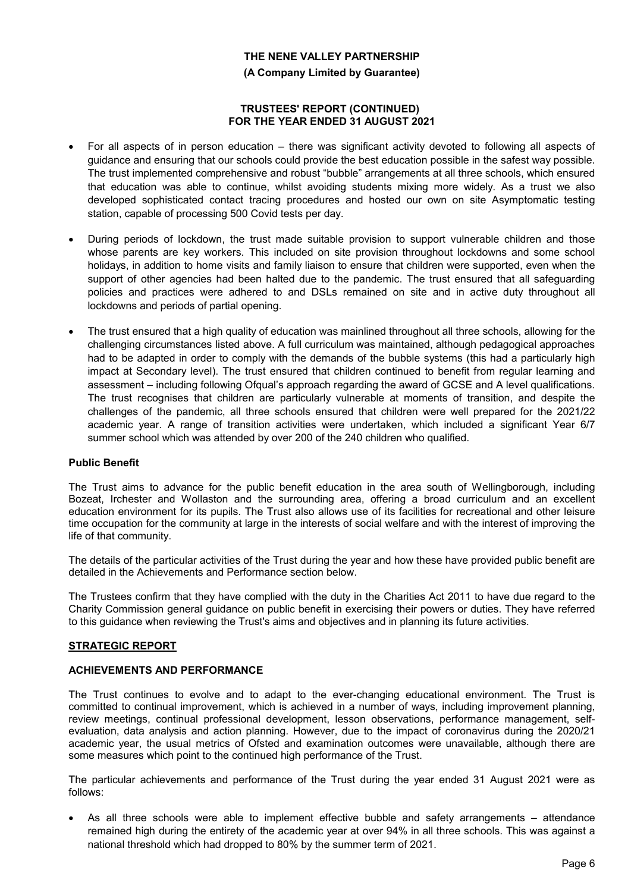**(A Company Limited by Guarantee)**

#### **TRUSTEES' REPORT (CONTINUED) FOR THE YEAR ENDED 31 AUGUST 2021**

- For all aspects of in person education there was significant activity devoted to following all aspects of guidance and ensuring that our schools could provide the best education possible in the safest way possible. The trust implemented comprehensive and robust "bubble" arrangements at all three schools, which ensured that education was able to continue, whilst avoiding students mixing more widely. As a trust we also developed sophisticated contact tracing procedures and hosted our own on site Asymptomatic testing station, capable of processing 500 Covid tests per day.
- During periods of lockdown, the trust made suitable provision to support vulnerable children and those whose parents are key workers. This included on site provision throughout lockdowns and some school holidays, in addition to home visits and family liaison to ensure that children were supported, even when the support of other agencies had been halted due to the pandemic. The trust ensured that all safeguarding policies and practices were adhered to and DSLs remained on site and in active duty throughout all lockdowns and periods of partial opening.
- The trust ensured that a high quality of education was mainlined throughout all three schools, allowing for the challenging circumstances listed above. A full curriculum was maintained, although pedagogical approaches had to be adapted in order to comply with the demands of the bubble systems (this had a particularly high impact at Secondary level). The trust ensured that children continued to benefit from regular learning and assessment – including following Ofqual's approach regarding the award of GCSE and A level qualifications. The trust recognises that children are particularly vulnerable at moments of transition, and despite the challenges of the pandemic, all three schools ensured that children were well prepared for the 2021/22 academic year. A range of transition activities were undertaken, which included a significant Year 6/7 summer school which was attended by over 200 of the 240 children who qualified.

### **Public Benefit**

The Trust aims to advance for the public benefit education in the area south of Wellingborough, including Bozeat, Irchester and Wollaston and the surrounding area, offering a broad curriculum and an excellent education environment for its pupils. The Trust also allows use of its facilities for recreational and other leisure time occupation for the community at large in the interests of social welfare and with the interest of improving the life of that community.

The details of the particular activities of the Trust during the year and how these have provided public benefit are detailed in the Achievements and Performance section below.

The Trustees confirm that they have complied with the duty in the Charities Act 2011 to have due regard to the Charity Commission general guidance on public benefit in exercising their powers or duties. They have referred to this guidance when reviewing the Trust's aims and objectives and in planning its future activities.

### **STRATEGIC REPORT**

### **ACHIEVEMENTS AND PERFORMANCE**

The Trust continues to evolve and to adapt to the ever-changing educational environment. The Trust is committed to continual improvement, which is achieved in a number of ways, including improvement planning, review meetings, continual professional development, lesson observations, performance management, selfevaluation, data analysis and action planning. However, due to the impact of coronavirus during the 2020/21 academic year, the usual metrics of Ofsted and examination outcomes were unavailable, although there are some measures which point to the continued high performance of the Trust.

The particular achievements and performance of the Trust during the year ended 31 August 2021 were as follows:

 As all three schools were able to implement effective bubble and safety arrangements – attendance remained high during the entirety of the academic year at over 94% in all three schools. This was against a national threshold which had dropped to 80% by the summer term of 2021.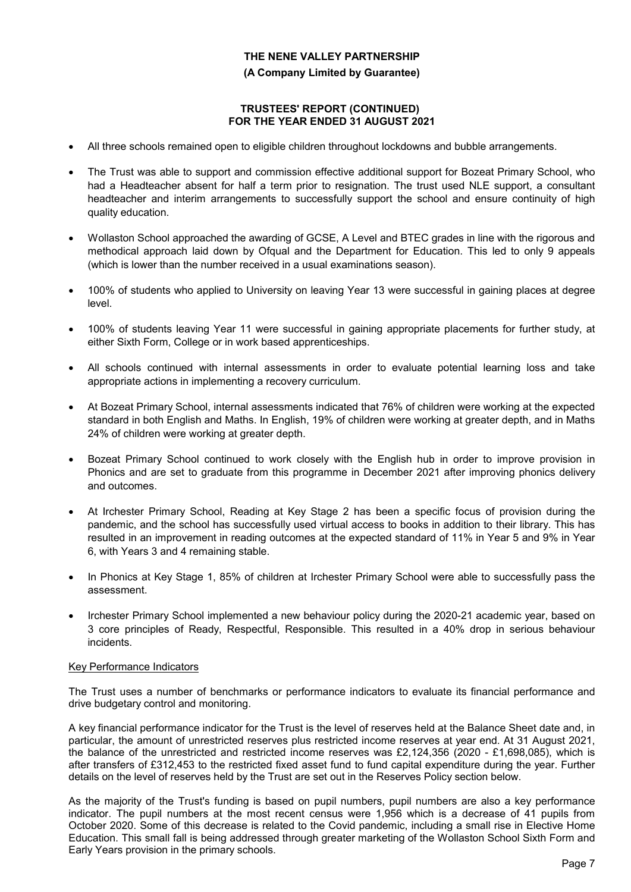#### **(A Company Limited by Guarantee)**

#### **TRUSTEES' REPORT (CONTINUED) FOR THE YEAR ENDED 31 AUGUST 2021**

- All three schools remained open to eligible children throughout lockdowns and bubble arrangements.
- The Trust was able to support and commission effective additional support for Bozeat Primary School, who had a Headteacher absent for half a term prior to resignation. The trust used NLE support, a consultant headteacher and interim arrangements to successfully support the school and ensure continuity of high quality education.
- Wollaston School approached the awarding of GCSE, A Level and BTEC grades in line with the rigorous and methodical approach laid down by Ofqual and the Department for Education. This led to only 9 appeals (which is lower than the number received in a usual examinations season).
- 100% of students who applied to University on leaving Year 13 were successful in gaining places at degree level.
- 100% of students leaving Year 11 were successful in gaining appropriate placements for further study, at either Sixth Form, College or in work based apprenticeships.
- All schools continued with internal assessments in order to evaluate potential learning loss and take appropriate actions in implementing a recovery curriculum.
- At Bozeat Primary School, internal assessments indicated that 76% of children were working at the expected standard in both English and Maths. In English, 19% of children were working at greater depth, and in Maths 24% of children were working at greater depth.
- Bozeat Primary School continued to work closely with the English hub in order to improve provision in Phonics and are set to graduate from this programme in December 2021 after improving phonics delivery and outcomes.
- At Irchester Primary School, Reading at Key Stage 2 has been a specific focus of provision during the pandemic, and the school has successfully used virtual access to books in addition to their library. This has resulted in an improvement in reading outcomes at the expected standard of 11% in Year 5 and 9% in Year 6, with Years 3 and 4 remaining stable.
- In Phonics at Key Stage 1, 85% of children at Irchester Primary School were able to successfully pass the assessment.
- Irchester Primary School implemented a new behaviour policy during the 2020-21 academic year, based on 3 core principles of Ready, Respectful, Responsible. This resulted in a 40% drop in serious behaviour incidents.

### Key Performance Indicators

The Trust uses a number of benchmarks or performance indicators to evaluate its financial performance and drive budgetary control and monitoring.

A key financial performance indicator for the Trust is the level of reserves held at the Balance Sheet date and, in particular, the amount of unrestricted reserves plus restricted income reserves at year end. At 31 August 2021, the balance of the unrestricted and restricted income reserves was £2,124,356 (2020 - £1,698,085), which is after transfers of £312,453 to the restricted fixed asset fund to fund capital expenditure during the year. Further details on the level of reserves held by the Trust are set out in the Reserves Policy section below.

As the majority of the Trust's funding is based on pupil numbers, pupil numbers are also a key performance indicator. The pupil numbers at the most recent census were 1,956 which is a decrease of 41 pupils from October 2020. Some of this decrease is related to the Covid pandemic, including a small rise in Elective Home Education. This small fall is being addressed through greater marketing of the Wollaston School Sixth Form and Early Years provision in the primary schools.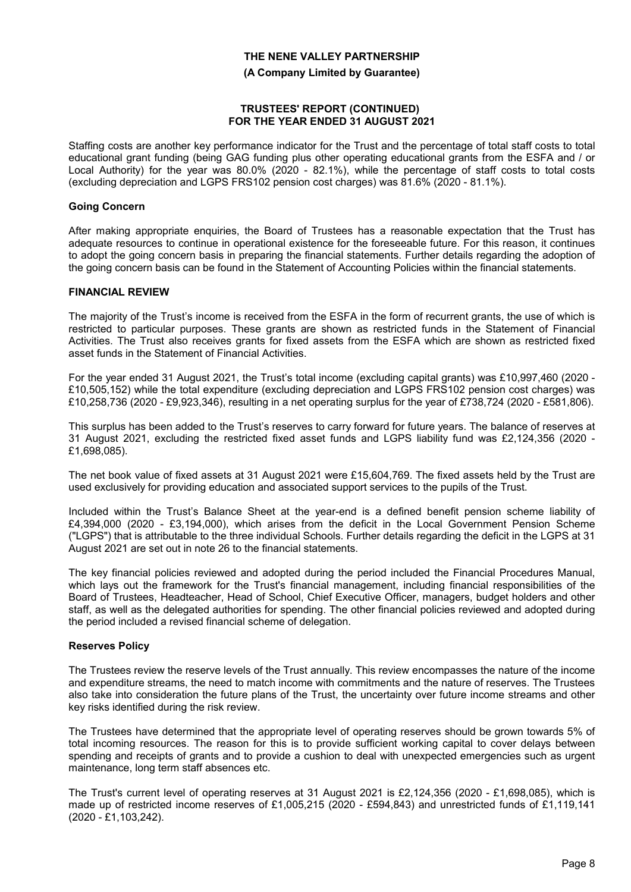#### **(A Company Limited by Guarantee)**

#### **TRUSTEES' REPORT (CONTINUED) FOR THE YEAR ENDED 31 AUGUST 2021**

Staffing costs are another key performance indicator for the Trust and the percentage of total staff costs to total educational grant funding (being GAG funding plus other operating educational grants from the ESFA and / or Local Authority) for the year was 80.0% (2020 - 82.1%), while the percentage of staff costs to total costs (excluding depreciation and LGPS FRS102 pension cost charges) was 81.6% (2020 - 81.1%).

#### **Going Concern**

After making appropriate enquiries, the Board of Trustees has a reasonable expectation that the Trust has adequate resources to continue in operational existence for the foreseeable future. For this reason, it continues to adopt the going concern basis in preparing the financial statements. Further details regarding the adoption of the going concern basis can be found in the Statement of Accounting Policies within the financial statements.

#### **FINANCIAL REVIEW**

The majority of the Trust's income is received from the ESFA in the form of recurrent grants, the use of which is restricted to particular purposes. These grants are shown as restricted funds in the Statement of Financial Activities. The Trust also receives grants for fixed assets from the ESFA which are shown as restricted fixed asset funds in the Statement of Financial Activities.

For the year ended 31 August 2021, the Trust's total income (excluding capital grants) was £10,997,460 (2020 - £10,505,152) while the total expenditure (excluding depreciation and LGPS FRS102 pension cost charges) was £10,258,736 (2020 - £9,923,346), resulting in a net operating surplus for the year of £738,724 (2020 - £581,806).

This surplus has been added to the Trust's reserves to carry forward for future years. The balance of reserves at 31 August 2021, excluding the restricted fixed asset funds and LGPS liability fund was £2,124,356 (2020 - £1,698,085).

The net book value of fixed assets at 31 August 2021 were £15,604,769. The fixed assets held by the Trust are used exclusively for providing education and associated support services to the pupils of the Trust.

Included within the Trust's Balance Sheet at the year-end is a defined benefit pension scheme liability of £4,394,000 (2020 - £3,194,000), which arises from the deficit in the Local Government Pension Scheme ("LGPS") that is attributable to the three individual Schools. Further details regarding the deficit in the LGPS at 31 August 2021 are set out in note 26 to the financial statements.

The key financial policies reviewed and adopted during the period included the Financial Procedures Manual, which lays out the framework for the Trust's financial management, including financial responsibilities of the Board of Trustees, Headteacher, Head of School, Chief Executive Officer, managers, budget holders and other staff, as well as the delegated authorities for spending. The other financial policies reviewed and adopted during the period included a revised financial scheme of delegation.

#### **Reserves Policy**

The Trustees review the reserve levels of the Trust annually. This review encompasses the nature of the income and expenditure streams, the need to match income with commitments and the nature of reserves. The Trustees also take into consideration the future plans of the Trust, the uncertainty over future income streams and other key risks identified during the risk review.

The Trustees have determined that the appropriate level of operating reserves should be grown towards 5% of total incoming resources. The reason for this is to provide sufficient working capital to cover delays between spending and receipts of grants and to provide a cushion to deal with unexpected emergencies such as urgent maintenance, long term staff absences etc.

The Trust's current level of operating reserves at 31 August 2021 is £2,124,356 (2020 - £1,698,085), which is made up of restricted income reserves of £1,005,215 (2020 - £594,843) and unrestricted funds of £1,119,141 (2020 - £1,103,242).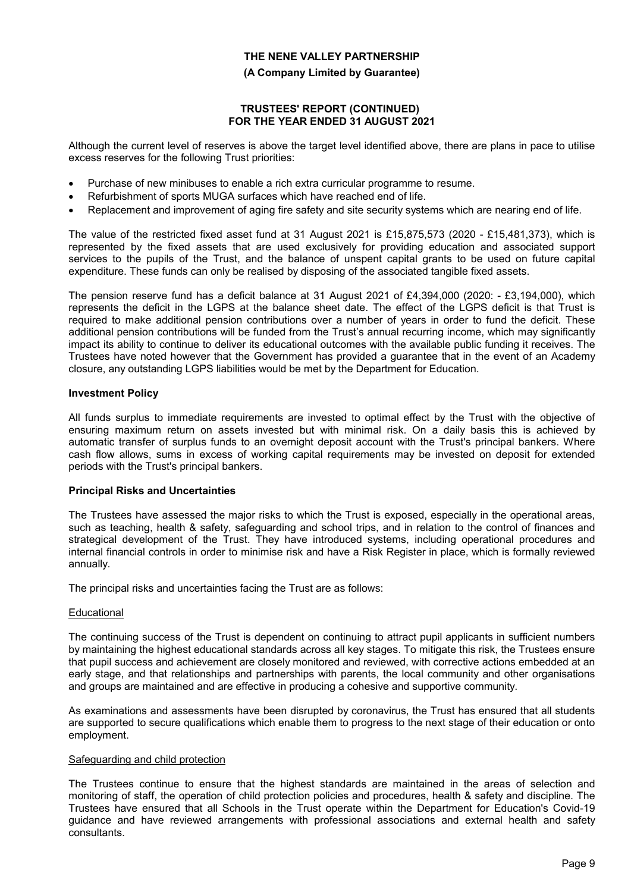#### **(A Company Limited by Guarantee)**

#### **TRUSTEES' REPORT (CONTINUED) FOR THE YEAR ENDED 31 AUGUST 2021**

Although the current level of reserves is above the target level identified above, there are plans in pace to utilise excess reserves for the following Trust priorities:

- Purchase of new minibuses to enable a rich extra curricular programme to resume.
- Refurbishment of sports MUGA surfaces which have reached end of life.
- Replacement and improvement of aging fire safety and site security systems which are nearing end of life.

The value of the restricted fixed asset fund at 31 August 2021 is £15,875,573 (2020 - £15,481,373), which is represented by the fixed assets that are used exclusively for providing education and associated support services to the pupils of the Trust, and the balance of unspent capital grants to be used on future capital expenditure. These funds can only be realised by disposing of the associated tangible fixed assets.

The pension reserve fund has a deficit balance at 31 August 2021 of £4,394,000 (2020: - £3,194,000), which represents the deficit in the LGPS at the balance sheet date. The effect of the LGPS deficit is that Trust is required to make additional pension contributions over a number of years in order to fund the deficit. These additional pension contributions will be funded from the Trust's annual recurring income, which may significantly impact its ability to continue to deliver its educational outcomes with the available public funding it receives. The Trustees have noted however that the Government has provided a guarantee that in the event of an Academy closure, any outstanding LGPS liabilities would be met by the Department for Education.

### **Investment Policy**

All funds surplus to immediate requirements are invested to optimal effect by the Trust with the objective of ensuring maximum return on assets invested but with minimal risk. On a daily basis this is achieved by automatic transfer of surplus funds to an overnight deposit account with the Trust's principal bankers. Where cash flow allows, sums in excess of working capital requirements may be invested on deposit for extended periods with the Trust's principal bankers.

### **Principal Risks and Uncertainties**

The Trustees have assessed the major risks to which the Trust is exposed, especially in the operational areas, such as teaching, health & safety, safeguarding and school trips, and in relation to the control of finances and strategical development of the Trust. They have introduced systems, including operational procedures and internal financial controls in order to minimise risk and have a Risk Register in place, which is formally reviewed annually.

The principal risks and uncertainties facing the Trust are as follows:

### **Educational**

The continuing success of the Trust is dependent on continuing to attract pupil applicants in sufficient numbers by maintaining the highest educational standards across all key stages. To mitigate this risk, the Trustees ensure that pupil success and achievement are closely monitored and reviewed, with corrective actions embedded at an early stage, and that relationships and partnerships with parents, the local community and other organisations and groups are maintained and are effective in producing a cohesive and supportive community.

As examinations and assessments have been disrupted by coronavirus, the Trust has ensured that all students are supported to secure qualifications which enable them to progress to the next stage of their education or onto employment.

### Safeguarding and child protection

The Trustees continue to ensure that the highest standards are maintained in the areas of selection and monitoring of staff, the operation of child protection policies and procedures, health & safety and discipline. The Trustees have ensured that all Schools in the Trust operate within the Department for Education's Covid-19 guidance and have reviewed arrangements with professional associations and external health and safety consultants.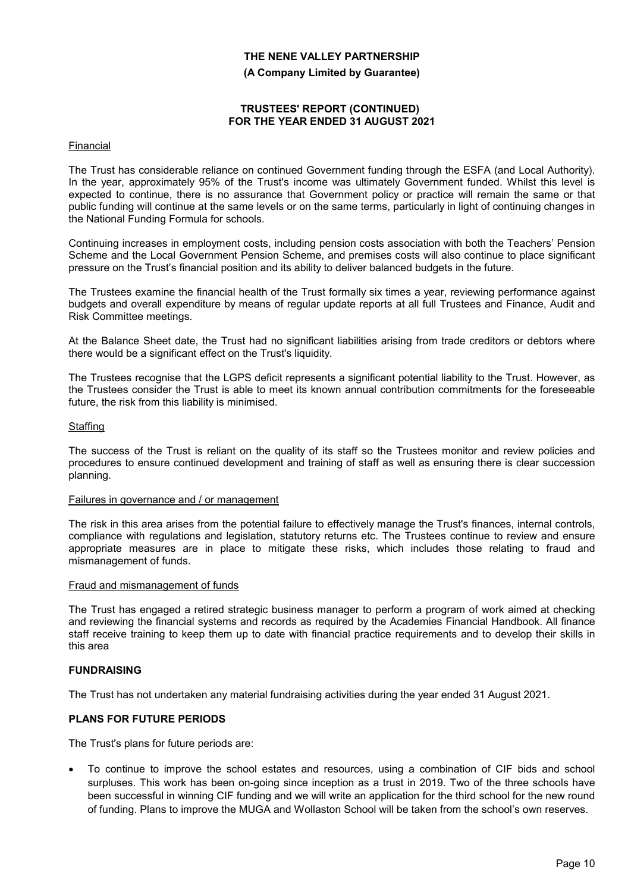**(A Company Limited by Guarantee)**

#### **TRUSTEES' REPORT (CONTINUED) FOR THE YEAR ENDED 31 AUGUST 2021**

#### Financial

The Trust has considerable reliance on continued Government funding through the ESFA (and Local Authority). In the year, approximately 95% of the Trust's income was ultimately Government funded. Whilst this level is expected to continue, there is no assurance that Government policy or practice will remain the same or that public funding will continue at the same levels or on the same terms, particularly in light of continuing changes in the National Funding Formula for schools.

Continuing increases in employment costs, including pension costs association with both the Teachers' Pension Scheme and the Local Government Pension Scheme, and premises costs will also continue to place significant pressure on the Trust's financial position and its ability to deliver balanced budgets in the future.

The Trustees examine the financial health of the Trust formally six times a year, reviewing performance against budgets and overall expenditure by means of regular update reports at all full Trustees and Finance, Audit and Risk Committee meetings.

At the Balance Sheet date, the Trust had no significant liabilities arising from trade creditors or debtors where there would be a significant effect on the Trust's liquidity.

The Trustees recognise that the LGPS deficit represents a significant potential liability to the Trust. However, as the Trustees consider the Trust is able to meet its known annual contribution commitments for the foreseeable future, the risk from this liability is minimised.

#### **Staffing**

The success of the Trust is reliant on the quality of its staff so the Trustees monitor and review policies and procedures to ensure continued development and training of staff as well as ensuring there is clear succession planning.

#### Failures in governance and / or management

The risk in this area arises from the potential failure to effectively manage the Trust's finances, internal controls, compliance with regulations and legislation, statutory returns etc. The Trustees continue to review and ensure appropriate measures are in place to mitigate these risks, which includes those relating to fraud and mismanagement of funds.

#### Fraud and mismanagement of funds

The Trust has engaged a retired strategic business manager to perform a program of work aimed at checking and reviewing the financial systems and records as required by the Academies Financial Handbook. All finance staff receive training to keep them up to date with financial practice requirements and to develop their skills in this area

#### **FUNDRAISING**

The Trust has not undertaken any material fundraising activities during the year ended 31 August 2021.

### **PLANS FOR FUTURE PERIODS**

The Trust's plans for future periods are:

 To continue to improve the school estates and resources, using a combination of CIF bids and school surpluses. This work has been on-going since inception as a trust in 2019. Two of the three schools have been successful in winning CIF funding and we will write an application for the third school for the new round of funding. Plans to improve the MUGA and Wollaston School will be taken from the school's own reserves.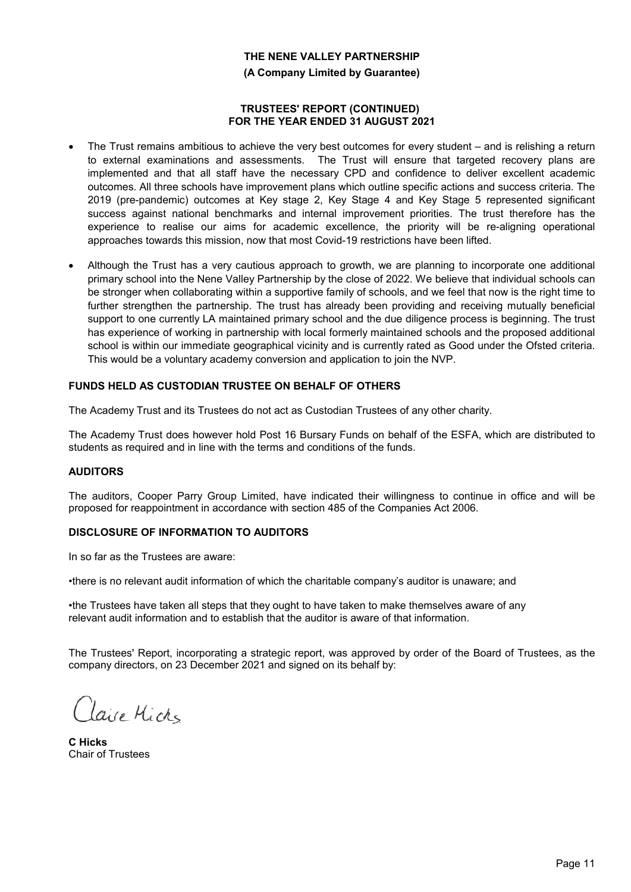**(A Company Limited by Guarantee)**

#### **TRUSTEES' REPORT (CONTINUED) FOR THE YEAR ENDED 31 AUGUST 2021**

- The Trust remains ambitious to achieve the very best outcomes for every student and is relishing a return to external examinations and assessments. The Trust will ensure that targeted recovery plans are implemented and that all staff have the necessary CPD and confidence to deliver excellent academic outcomes. All three schools have improvement plans which outline specific actions and success criteria. The 2019 (pre-pandemic) outcomes at Key stage 2, Key Stage 4 and Key Stage 5 represented significant success against national benchmarks and internal improvement priorities. The trust therefore has the experience to realise our aims for academic excellence, the priority will be re-aligning operational approaches towards this mission, now that most Covid-19 restrictions have been lifted.
- Although the Trust has a very cautious approach to growth, we are planning to incorporate one additional primary school into the Nene Valley Partnership by the close of 2022. We believe that individual schools can be stronger when collaborating within a supportive family of schools, and we feel that now is the right time to further strengthen the partnership. The trust has already been providing and receiving mutually beneficial support to one currently LA maintained primary school and the due diligence process is beginning. The trust has experience of working in partnership with local formerly maintained schools and the proposed additional school is within our immediate geographical vicinity and is currently rated as Good under the Ofsted criteria. This would be a voluntary academy conversion and application to join the NVP.

# **FUNDS HELD AS CUSTODIAN TRUSTEE ON BEHALF OF OTHERS**

The Academy Trust and its Trustees do not act as Custodian Trustees of any other charity.

The Academy Trust does however hold Post 16 Bursary Funds on behalf of the ESFA, which are distributed to students as required and in line with the terms and conditions of the funds.

### **AUDITORS**

The auditors, Cooper Parry Group Limited, have indicated their willingness to continue in office and will be proposed for reappointment in accordance with section 485 of the Companies Act 2006.

### **DISCLOSURE OF INFORMATION TO AUDITORS**

In so far as the Trustees are aware:

•there is no relevant audit information of which the charitable company's auditor is unaware; and

•the Trustees have taken all steps that they ought to have taken to make themselves aware of any relevant audit information and to establish that the auditor is aware of that information.

The Trustees' Report, incorporating a strategic report, was approved by order of the Board of Trustees, as the company directors, on 23 December 2021 and signed on its behalf by:

Claire Micks

**C Hicks** Chair of Trustees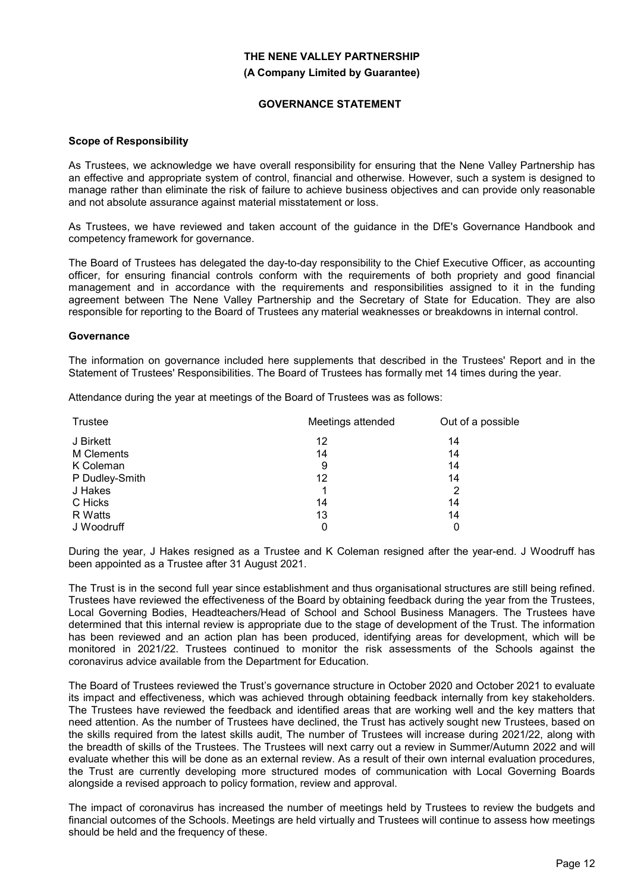# **THE NENE VALLEY PARTNERSHIP (A Company Limited by Guarantee)**

#### **GOVERNANCE STATEMENT**

#### **Scope of Responsibility**

As Trustees, we acknowledge we have overall responsibility for ensuring that the Nene Valley Partnership has an effective and appropriate system of control, financial and otherwise. However, such a system is designed to manage rather than eliminate the risk of failure to achieve business objectives and can provide only reasonable and not absolute assurance against material misstatement or loss.

As Trustees, we have reviewed and taken account of the guidance in the DfE's Governance Handbook and competency framework for governance.

The Board of Trustees has delegated the day-to-day responsibility to the Chief Executive Officer, as accounting officer, for ensuring financial controls conform with the requirements of both propriety and good financial management and in accordance with the requirements and responsibilities assigned to it in the funding agreement between The Nene Valley Partnership and the Secretary of State for Education. They are also responsible for reporting to the Board of Trustees any material weaknesses or breakdowns in internal control.

#### **Governance**

The information on governance included here supplements that described in the Trustees' Report and in the Statement of Trustees' Responsibilities. The Board of Trustees has formally met 14 times during the year.

Attendance during the year at meetings of the Board of Trustees was as follows:

| <b>Trustee</b> | Meetings attended | Out of a possible |
|----------------|-------------------|-------------------|
| J Birkett      | 12                | 14                |
| M Clements     | 14                | 14                |
| K Coleman      | 9                 | 14                |
| P Dudley-Smith | 12                | 14                |
| J Hakes        |                   | 2                 |
| C Hicks        | 14                | 14                |
| R Watts        | 13                | 14                |
| J Woodruff     | 0                 | 0                 |

During the year, J Hakes resigned as a Trustee and K Coleman resigned after the year-end. J Woodruff has been appointed as a Trustee after 31 August 2021.

The Trust is in the second full year since establishment and thus organisational structures are still being refined. Trustees have reviewed the effectiveness of the Board by obtaining feedback during the year from the Trustees, Local Governing Bodies, Headteachers/Head of School and School Business Managers. The Trustees have determined that this internal review is appropriate due to the stage of development of the Trust. The information has been reviewed and an action plan has been produced, identifying areas for development, which will be monitored in 2021/22. Trustees continued to monitor the risk assessments of the Schools against the coronavirus advice available from the Department for Education.

The Board of Trustees reviewed the Trust's governance structure in October 2020 and October 2021 to evaluate its impact and effectiveness, which was achieved through obtaining feedback internally from key stakeholders. The Trustees have reviewed the feedback and identified areas that are working well and the key matters that need attention. As the number of Trustees have declined, the Trust has actively sought new Trustees, based on the skills required from the latest skills audit, The number of Trustees will increase during 2021/22, along with the breadth of skills of the Trustees. The Trustees will next carry out a review in Summer/Autumn 2022 and will evaluate whether this will be done as an external review. As a result of their own internal evaluation procedures, the Trust are currently developing more structured modes of communication with Local Governing Boards alongside a revised approach to policy formation, review and approval.

The impact of coronavirus has increased the number of meetings held by Trustees to review the budgets and financial outcomes of the Schools. Meetings are held virtually and Trustees will continue to assess how meetings should be held and the frequency of these.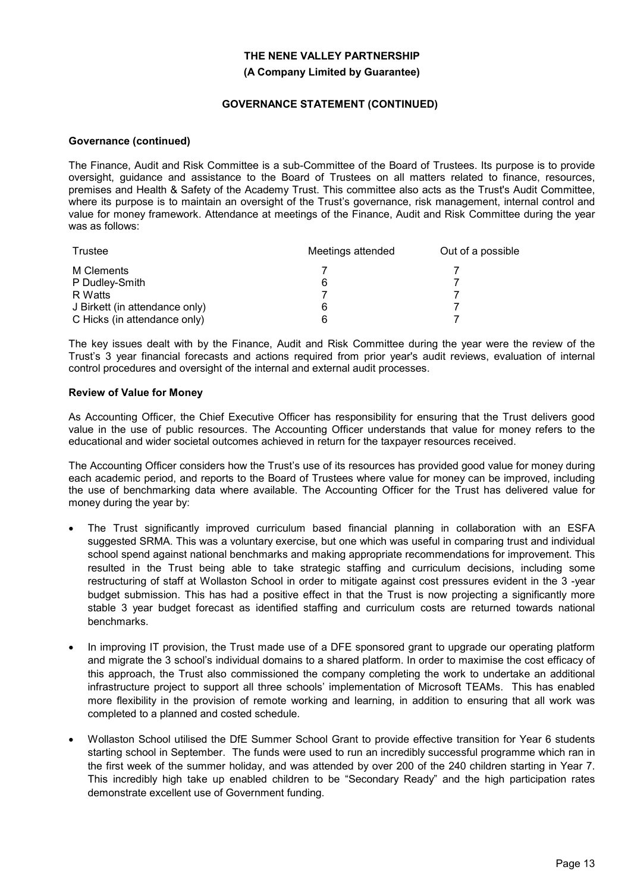#### (A Company Limited by Guarantee)

#### GOVERNANCE STATEMENT (CONTINUED)

#### Governance (continued)

The Finance, Audit and Risk Committee is a sub-Committee of the Board of Trustees. Its purpose is to provide oversight, guidance and assistance to the Board of Trustees on all matters related to finance, resources, premises and Health & Safety of the Academy Trust. This committee also acts as the Trust's Audit Committee, where its purpose is to maintain an oversight of the Trust's governance, risk management, internal control and value for money framework. Attendance at meetings of the Finance, Audit and Risk Committee during the year was as follows:

| Trustee                        | Meetings attended | Out of a possible |
|--------------------------------|-------------------|-------------------|
| M Clements                     |                   |                   |
| P Dudley-Smith                 | 6                 |                   |
| R Watts                        |                   |                   |
| J Birkett (in attendance only) | 6                 |                   |
| C Hicks (in attendance only)   | ค                 |                   |

The key issues dealt with by the Finance, Audit and Risk Committee during the year were the review of the Trust's 3 year financial forecasts and actions required from prior year's audit reviews, evaluation of internal control procedures and oversight of the internal and external audit processes.

#### Review of Value for Money

As Accounting Officer, the Chief Executive Officer has responsibility for ensuring that the Trust delivers good value in the use of public resources. The Accounting Officer understands that value for money refers to the educational and wider societal outcomes achieved in return for the taxpayer resources received.

The Accounting Officer considers how the Trust's use of its resources has provided good value for money during each academic period, and reports to the Board of Trustees where value for money can be improved, including the use of benchmarking data where available. The Accounting Officer for the Trust has delivered value for money during the year by:

- The Trust significantly improved curriculum based financial planning in collaboration with an ESFA suggested SRMA. This was a voluntary exercise, but one which was useful in comparing trust and individual school spend against national benchmarks and making appropriate recommendations for improvement. This resulted in the Trust being able to take strategic staffing and curriculum decisions, including some restructuring of staff at Wollaston School in order to mitigate against cost pressures evident in the 3 -year budget submission. This has had a positive effect in that the Trust is now projecting a significantly more stable 3 year budget forecast as identified staffing and curriculum costs are returned towards national benchmarks.
- In improving IT provision, the Trust made use of a DFE sponsored grant to upgrade our operating platform and migrate the 3 school's individual domains to a shared platform. In order to maximise the cost efficacy of this approach, the Trust also commissioned the company completing the work to undertake an additional infrastructure project to support all three schools' implementation of Microsoft TEAMs. This has enabled more flexibility in the provision of remote working and learning, in addition to ensuring that all work was completed to a planned and costed schedule.
- Wollaston School utilised the DfE Summer School Grant to provide effective transition for Year 6 students starting school in September. The funds were used to run an incredibly successful programme which ran in the first week of the summer holiday, and was attended by over 200 of the 240 children starting in Year 7. This incredibly high take up enabled children to be "Secondary Ready" and the high participation rates demonstrate excellent use of Government funding.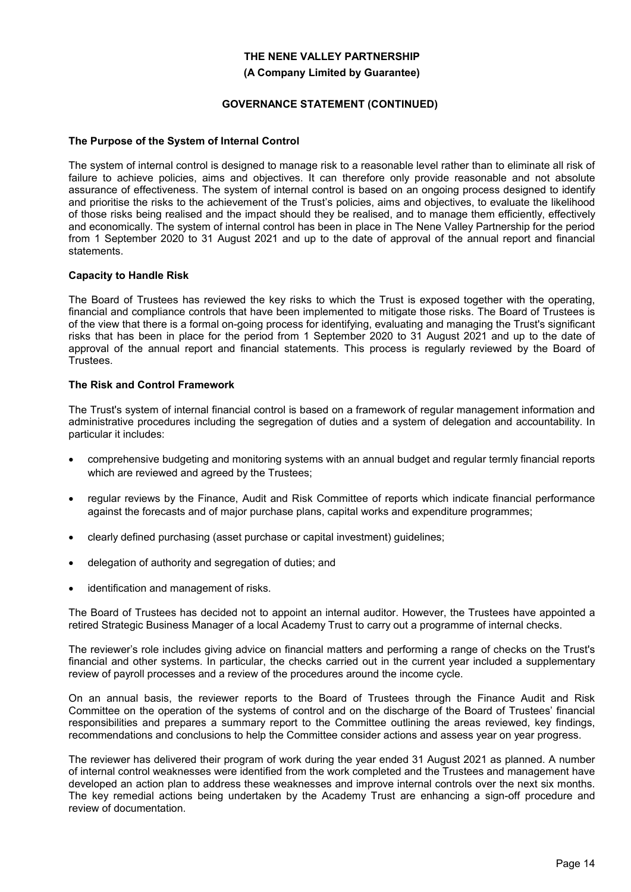#### **(A Company Limited by Guarantee)**

### **GOVERNANCE STATEMENT (CONTINUED)**

#### **The Purpose of the System of Internal Control**

The system of internal control is designed to manage risk to a reasonable level rather than to eliminate all risk of failure to achieve policies, aims and objectives. It can therefore only provide reasonable and not absolute assurance of effectiveness. The system of internal control is based on an ongoing process designed to identify and prioritise the risks to the achievement of the Trust's policies, aims and objectives, to evaluate the likelihood of those risks being realised and the impact should they be realised, and to manage them efficiently, effectively and economically. The system of internal control has been in place in The Nene Valley Partnership for the period from 1 September 2020 to 31 August 2021 and up to the date of approval of the annual report and financial statements.

#### **Capacity to Handle Risk**

The Board of Trustees has reviewed the key risks to which the Trust is exposed together with the operating, financial and compliance controls that have been implemented to mitigate those risks. The Board of Trustees is of the view that there is a formal on-going process for identifying, evaluating and managing the Trust's significant risks that has been in place for the period from 1 September 2020 to 31 August 2021 and up to the date of approval of the annual report and financial statements. This process is regularly reviewed by the Board of Trustees.

#### **The Risk and Control Framework**

The Trust's system of internal financial control is based on a framework of regular management information and administrative procedures including the segregation of duties and a system of delegation and accountability. In particular it includes:

- comprehensive budgeting and monitoring systems with an annual budget and regular termly financial reports which are reviewed and agreed by the Trustees;
- regular reviews by the Finance, Audit and Risk Committee of reports which indicate financial performance against the forecasts and of major purchase plans, capital works and expenditure programmes;
- clearly defined purchasing (asset purchase or capital investment) guidelines;
- delegation of authority and segregation of duties; and
- identification and management of risks.

The Board of Trustees has decided not to appoint an internal auditor. However, the Trustees have appointed a retired Strategic Business Manager of a local Academy Trust to carry out a programme of internal checks.

The reviewer's role includes giving advice on financial matters and performing a range of checks on the Trust's financial and other systems. In particular, the checks carried out in the current year included a supplementary review of payroll processes and a review of the procedures around the income cycle.

On an annual basis, the reviewer reports to the Board of Trustees through the Finance Audit and Risk Committee on the operation of the systems of control and on the discharge of the Board of Trustees' financial responsibilities and prepares a summary report to the Committee outlining the areas reviewed, key findings, recommendations and conclusions to help the Committee consider actions and assess year on year progress.

The reviewer has delivered their program of work during the year ended 31 August 2021 as planned. A number of internal control weaknesses were identified from the work completed and the Trustees and management have developed an action plan to address these weaknesses and improve internal controls over the next six months. The key remedial actions being undertaken by the Academy Trust are enhancing a sign-off procedure and review of documentation.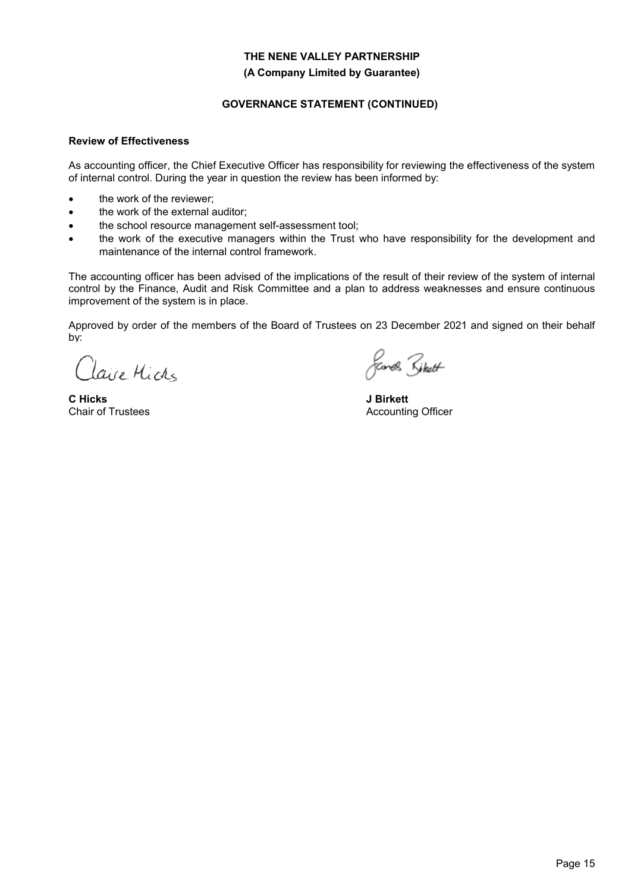#### **(A Company Limited by Guarantee)**

# **GOVERNANCE STATEMENT (CONTINUED)**

#### **Review of Effectiveness**

As accounting officer, the Chief Executive Officer has responsibility for reviewing the effectiveness of the system of internal control. During the year in question the review has been informed by:

- the work of the reviewer;
- the work of the external auditor;
- the school resource management self-assessment tool;
- the work of the executive managers within the Trust who have responsibility for the development and maintenance of the internal control framework.

The accounting officer has been advised of the implications of the result of their review of the system of internal control by the Finance, Audit and Risk Committee and a plan to address weaknesses and ensure continuous improvement of the system is in place.

Approved by order of the members of the Board of Trustees on 23 December 2021 and signed on their behalf by:

Clave Michs

**C Hicks** Chair of Trustees

*fands Siket* 

**J Birkett** Accounting Officer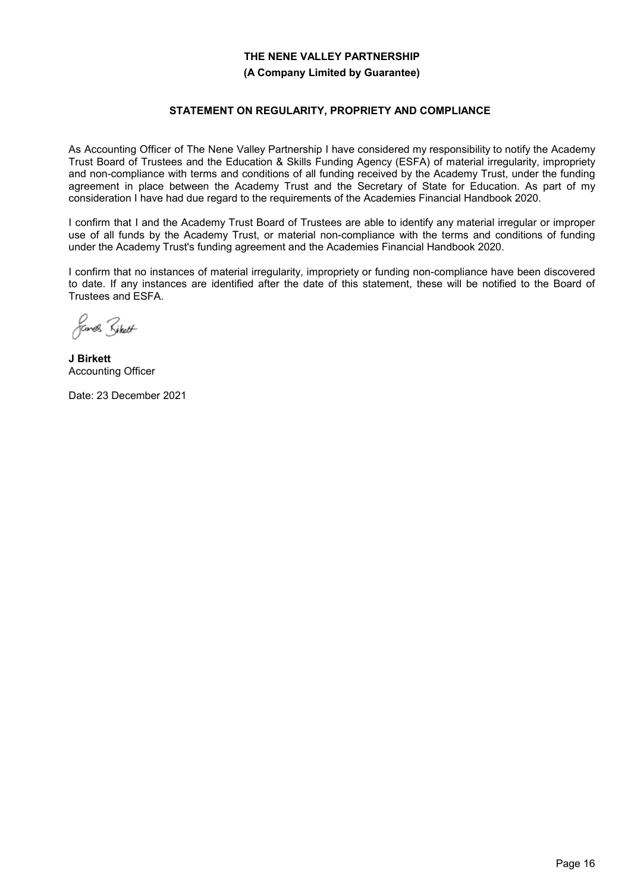#### **(A Company Limited by Guarantee)**

### **STATEMENT ON REGULARITY, PROPRIETY AND COMPLIANCE**

As Accounting Officer of The Nene Valley Partnership I have considered my responsibility to notify the Academy Trust Board of Trustees and the Education & Skills Funding Agency (ESFA) of material irregularity, impropriety and non-compliance with terms and conditions of all funding received by the Academy Trust, under the funding agreement in place between the Academy Trust and the Secretary of State for Education. As part of my consideration I have had due regard to the requirements of the Academies Financial Handbook 2020.

I confirm that I and the Academy Trust Board of Trustees are able to identify any material irregular or improper use of all funds by the Academy Trust, or material non-compliance with the terms and conditions of funding under the Academy Trust's funding agreement and the Academies Financial Handbook 2020.

I confirm that no instances of material irregularity, impropriety or funding non-compliance have been discovered to date. If any instances are identified after the date of this statement, these will be notified to the Board of Trustees and ESFA.

*fames Siket* 

**J Birkett** Accounting Officer

Date: 23 December 2021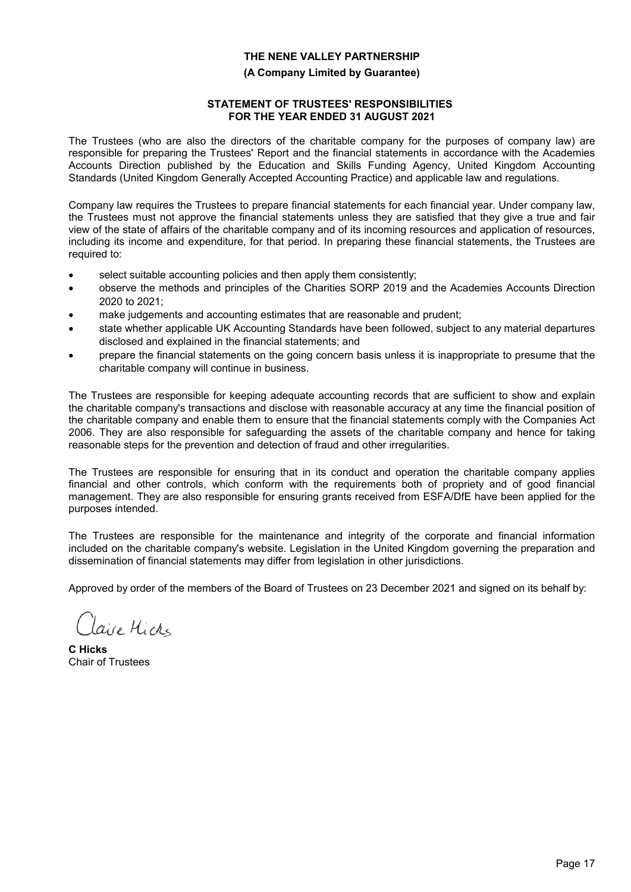#### **(A Company Limited by Guarantee)**

### **STATEMENT OF TRUSTEES' RESPONSIBILITIES FOR THE YEAR ENDED 31 AUGUST 2021**

The Trustees (who are also the directors of the charitable company for the purposes of company law) are responsible for preparing the Trustees' Report and the financial statements in accordance with the Academies Accounts Direction published by the Education and Skills Funding Agency, United Kingdom Accounting Standards (United Kingdom Generally Accepted Accounting Practice) and applicable law and regulations.

Company law requires the Trustees to prepare financial statements for each financial year. Under company law, the Trustees must not approve the financial statements unless they are satisfied that they give a true and fair view of the state of affairs of the charitable company and of its incoming resources and application of resources, including its income and expenditure, for that period. In preparing these financial statements, the Trustees are required to:

- select suitable accounting policies and then apply them consistently;
- observe the methods and principles of the Charities SORP 2019 and the Academies Accounts Direction 2020 to 2021;
- make judgements and accounting estimates that are reasonable and prudent;
- state whether applicable UK Accounting Standards have been followed, subject to any material departures disclosed and explained in the financial statements; and
- prepare the financial statements on the going concern basis unless it is inappropriate to presume that the charitable company will continue in business.

The Trustees are responsible for keeping adequate accounting records that are sufficient to show and explain the charitable company's transactions and disclose with reasonable accuracy at any time the financial position of the charitable company and enable them to ensure that the financial statements comply with the Companies Act 2006. They are also responsible for safeguarding the assets of the charitable company and hence for taking reasonable steps for the prevention and detection of fraud and other irregularities.

The Trustees are responsible for ensuring that in its conduct and operation the charitable company applies financial and other controls, which conform with the requirements both of propriety and of good financial management. They are also responsible for ensuring grants received from ESFA/DfE have been applied for the purposes intended.

The Trustees are responsible for the maintenance and integrity of the corporate and financial information included on the charitable company's website. Legislation in the United Kingdom governing the preparation and dissemination of financial statements may differ from legislation in other jurisdictions.

Approved by order of the members of the Board of Trustees on 23 December 2021 and signed on its behalf by:

laire Micks

**C Hicks** Chair of Trustees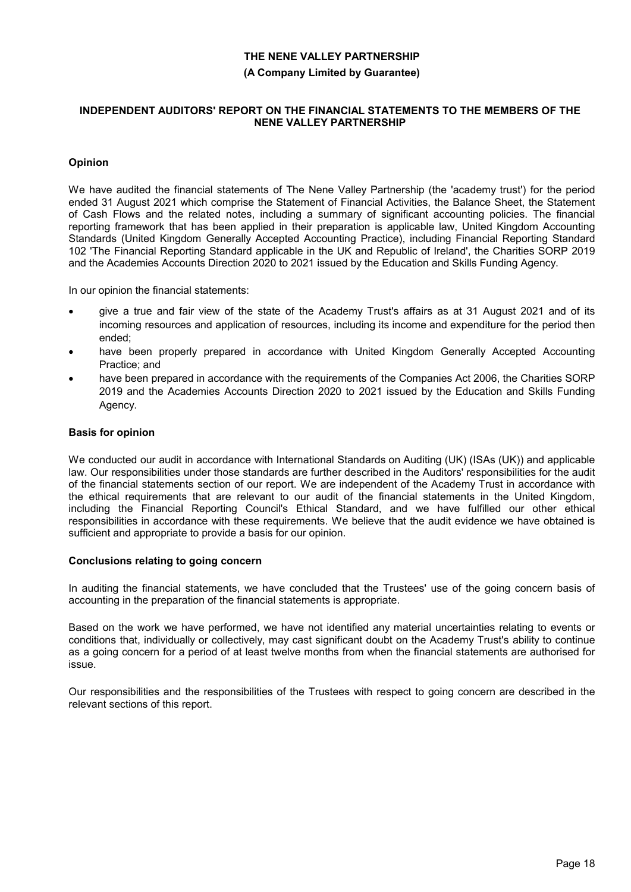#### **(A Company Limited by Guarantee)**

#### **INDEPENDENT AUDITORS' REPORT ON THE FINANCIAL STATEMENTS TO THE MEMBERS OF THE NENE VALLEY PARTNERSHIP**

## **Opinion**

We have audited the financial statements of The Nene Valley Partnership (the 'academy trust') for the period ended 31 August 2021 which comprise the Statement of Financial Activities, the Balance Sheet, the Statement of Cash Flows and the related notes, including a summary of significant accounting policies. The financial reporting framework that has been applied in their preparation is applicable law, United Kingdom Accounting Standards (United Kingdom Generally Accepted Accounting Practice), including Financial Reporting Standard 102 'The Financial Reporting Standard applicable in the UK and Republic of Ireland', the Charities SORP 2019 and the Academies Accounts Direction 2020 to 2021 issued by the Education and Skills Funding Agency.

In our opinion the financial statements:

- give a true and fair view of the state of the Academy Trust's affairs as at 31 August 2021 and of its incoming resources and application of resources, including its income and expenditure for the period then ended;
- have been properly prepared in accordance with United Kingdom Generally Accepted Accounting Practice; and
- have been prepared in accordance with the requirements of the Companies Act 2006, the Charities SORP 2019 and the Academies Accounts Direction 2020 to 2021 issued by the Education and Skills Funding Agency.

#### **Basis for opinion**

We conducted our audit in accordance with International Standards on Auditing (UK) (ISAs (UK)) and applicable law. Our responsibilities under those standards are further described in the Auditors' responsibilities for the audit of the financial statements section of our report. We are independent of the Academy Trust in accordance with the ethical requirements that are relevant to our audit of the financial statements in the United Kingdom, including the Financial Reporting Council's Ethical Standard, and we have fulfilled our other ethical responsibilities in accordance with these requirements. We believe that the audit evidence we have obtained is sufficient and appropriate to provide a basis for our opinion.

#### **Conclusions relating to going concern**

In auditing the financial statements, we have concluded that the Trustees' use of the going concern basis of accounting in the preparation of the financial statements is appropriate.

Based on the work we have performed, we have not identified any material uncertainties relating to events or conditions that, individually or collectively, may cast significant doubt on the Academy Trust's ability to continue as a going concern for a period of at least twelve months from when the financial statements are authorised for issue.

Our responsibilities and the responsibilities of the Trustees with respect to going concern are described in the relevant sections of this report.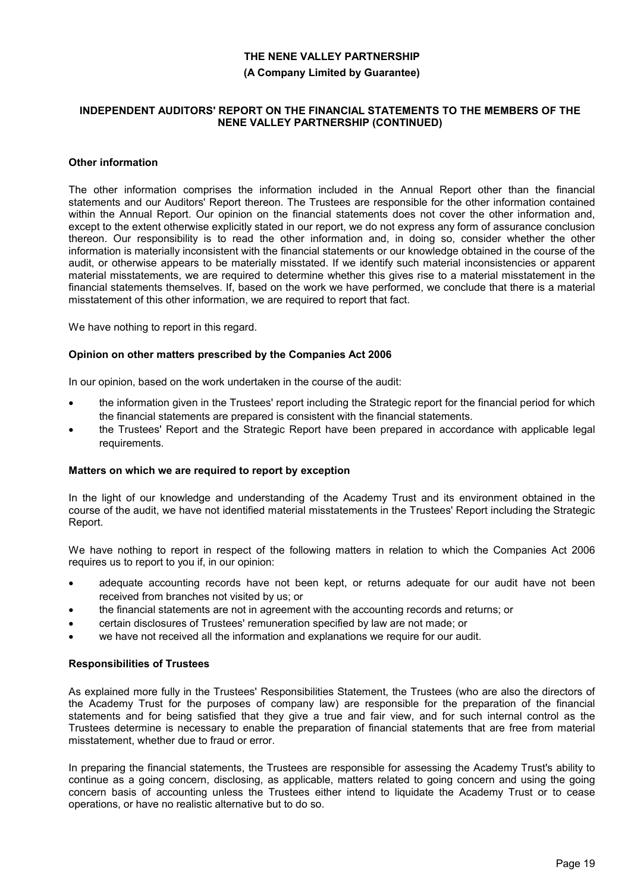#### **(A Company Limited by Guarantee)**

#### **INDEPENDENT AUDITORS' REPORT ON THE FINANCIAL STATEMENTS TO THE MEMBERS OF THE NENE VALLEY PARTNERSHIP (CONTINUED)**

#### **Other information**

The other information comprises the information included in the Annual Report other than the financial statements and our Auditors' Report thereon. The Trustees are responsible for the other information contained within the Annual Report. Our opinion on the financial statements does not cover the other information and, except to the extent otherwise explicitly stated in our report, we do not express any form of assurance conclusion thereon. Our responsibility is to read the other information and, in doing so, consider whether the other information is materially inconsistent with the financial statements or our knowledge obtained in the course of the audit, or otherwise appears to be materially misstated. If we identify such material inconsistencies or apparent material misstatements, we are required to determine whether this gives rise to a material misstatement in the financial statements themselves. If, based on the work we have performed, we conclude that there is a material misstatement of this other information, we are required to report that fact.

We have nothing to report in this regard.

#### **Opinion on other matters prescribed by the Companies Act 2006**

In our opinion, based on the work undertaken in the course of the audit:

- the information given in the Trustees' report including the Strategic report for the financial period for which the financial statements are prepared is consistent with the financial statements.
- the Trustees' Report and the Strategic Report have been prepared in accordance with applicable legal requirements.

#### **Matters on which we are required to report by exception**

In the light of our knowledge and understanding of the Academy Trust and its environment obtained in the course of the audit, we have not identified material misstatements in the Trustees' Report including the Strategic Report.

We have nothing to report in respect of the following matters in relation to which the Companies Act 2006 requires us to report to you if, in our opinion:

- adequate accounting records have not been kept, or returns adequate for our audit have not been received from branches not visited by us; or
- the financial statements are not in agreement with the accounting records and returns; or
- certain disclosures of Trustees' remuneration specified by law are not made; or
- we have not received all the information and explanations we require for our audit.

#### **Responsibilities of Trustees**

As explained more fully in the Trustees' Responsibilities Statement, the Trustees (who are also the directors of the Academy Trust for the purposes of company law) are responsible for the preparation of the financial statements and for being satisfied that they give a true and fair view, and for such internal control as the Trustees determine is necessary to enable the preparation of financial statements that are free from material misstatement, whether due to fraud or error.

In preparing the financial statements, the Trustees are responsible for assessing the Academy Trust's ability to continue as a going concern, disclosing, as applicable, matters related to going concern and using the going concern basis of accounting unless the Trustees either intend to liquidate the Academy Trust or to cease operations, or have no realistic alternative but to do so.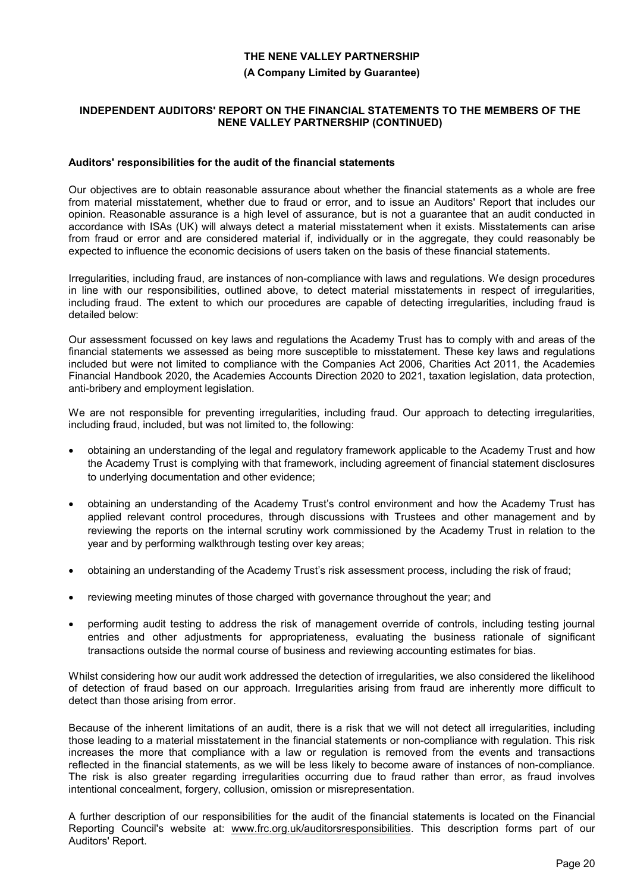#### **(A Company Limited by Guarantee)**

#### **INDEPENDENT AUDITORS' REPORT ON THE FINANCIAL STATEMENTS TO THE MEMBERS OF THE NENE VALLEY PARTNERSHIP (CONTINUED)**

#### **Auditors' responsibilities for the audit of the financial statements**

Our objectives are to obtain reasonable assurance about whether the financial statements as a whole are free from material misstatement, whether due to fraud or error, and to issue an Auditors' Report that includes our opinion. Reasonable assurance is a high level of assurance, but is not a guarantee that an audit conducted in accordance with ISAs (UK) will always detect a material misstatement when it exists. Misstatements can arise from fraud or error and are considered material if, individually or in the aggregate, they could reasonably be expected to influence the economic decisions of users taken on the basis of these financial statements.

Irregularities, including fraud, are instances of non-compliance with laws and regulations. We design procedures in line with our responsibilities, outlined above, to detect material misstatements in respect of irregularities, including fraud. The extent to which our procedures are capable of detecting irregularities, including fraud is detailed below:

Our assessment focussed on key laws and regulations the Academy Trust has to comply with and areas of the financial statements we assessed as being more susceptible to misstatement. These key laws and regulations included but were not limited to compliance with the Companies Act 2006, Charities Act 2011, the Academies Financial Handbook 2020, the Academies Accounts Direction 2020 to 2021, taxation legislation, data protection, anti-bribery and employment legislation.

We are not responsible for preventing irregularities, including fraud. Our approach to detecting irregularities, including fraud, included, but was not limited to, the following:

- obtaining an understanding of the legal and regulatory framework applicable to the Academy Trust and how the Academy Trust is complying with that framework, including agreement of financial statement disclosures to underlying documentation and other evidence;
- obtaining an understanding of the Academy Trust's control environment and how the Academy Trust has applied relevant control procedures, through discussions with Trustees and other management and by reviewing the reports on the internal scrutiny work commissioned by the Academy Trust in relation to the year and by performing walkthrough testing over key areas;
- obtaining an understanding of the Academy Trust's risk assessment process, including the risk of fraud;
- reviewing meeting minutes of those charged with governance throughout the year; and
- performing audit testing to address the risk of management override of controls, including testing journal entries and other adjustments for appropriateness, evaluating the business rationale of significant transactions outside the normal course of business and reviewing accounting estimates for bias.

Whilst considering how our audit work addressed the detection of irregularities, we also considered the likelihood of detection of fraud based on our approach. Irregularities arising from fraud are inherently more difficult to detect than those arising from error.

Because of the inherent limitations of an audit, there is a risk that we will not detect all irregularities, including those leading to a material misstatement in the financial statements or non-compliance with regulation. This risk increases the more that compliance with a law or regulation is removed from the events and transactions reflected in the financial statements, as we will be less likely to become aware of instances of non-compliance. The risk is also greater regarding irregularities occurring due to fraud rather than error, as fraud involves intentional concealment, forgery, collusion, omission or misrepresentation.

A further description of our responsibilities for the audit of the financial statements is located on the Financial Reporting Council's website at: www.frc.org.uk/auditorsresponsibilities. This description forms part of our Auditors' Report.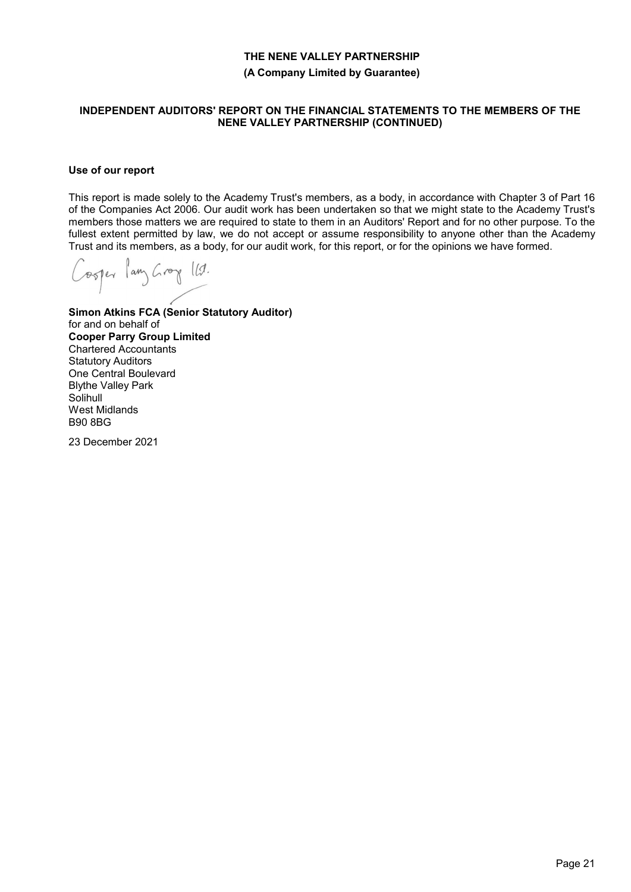**(A Company Limited by Guarantee)**

#### **INDEPENDENT AUDITORS' REPORT ON THE FINANCIAL STATEMENTS TO THE MEMBERS OF THE NENE VALLEY PARTNERSHIP (CONTINUED)**

### **Use of our report**

This report is made solely to the Academy Trust's members, as a body, in accordance with Chapter 3 of Part 16 of the Companies Act 2006. Our audit work has been undertaken so that we might state to the Academy Trust's members those matters we are required to state to them in an Auditors' Report and for no other purpose. To the fullest extent permitted by law, we do not accept or assume responsibility to anyone other than the Academy Trust and its members, as a body, for our audit work, for this report, or for the opinions we have formed.

Cooper lang Groy 11.

**Simon Atkins FCA (Senior Statutory Auditor)** for and on behalf of **Cooper Parry Group Limited** Chartered Accountants Statutory Auditors One Central Boulevard Blythe Valley Park **Solihull** West Midlands B90 8BG

23 December 2021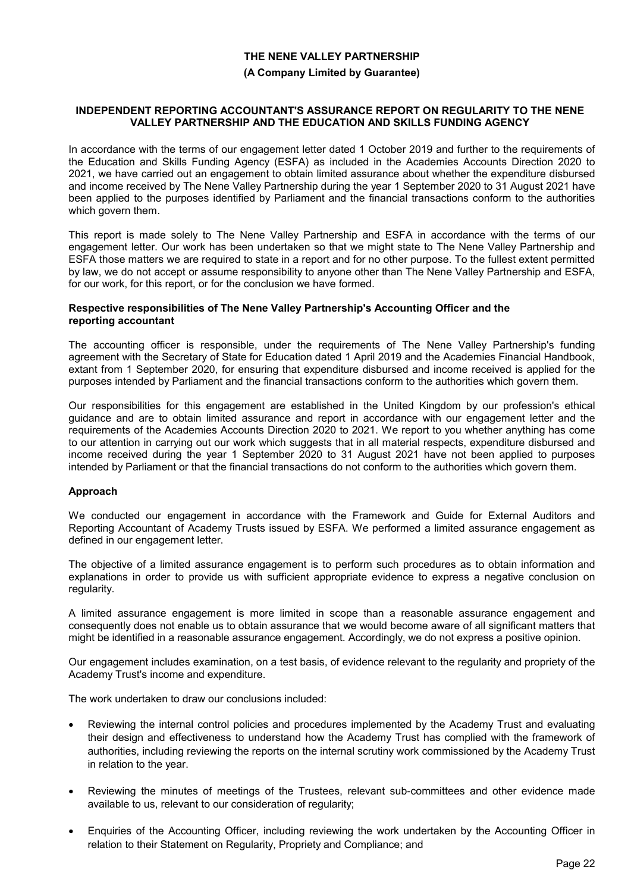#### **(A Company Limited by Guarantee)**

#### **INDEPENDENT REPORTING ACCOUNTANT'S ASSURANCE REPORT ON REGULARITY TO THE NENE VALLEY PARTNERSHIP AND THE EDUCATION AND SKILLS FUNDING AGENCY**

In accordance with the terms of our engagement letter dated 1 October 2019 and further to the requirements of the Education and Skills Funding Agency (ESFA) as included in the Academies Accounts Direction 2020 to 2021, we have carried out an engagement to obtain limited assurance about whether the expenditure disbursed and income received by The Nene Valley Partnership during the year 1 September 2020 to 31 August 2021 have been applied to the purposes identified by Parliament and the financial transactions conform to the authorities which govern them.

This report is made solely to The Nene Valley Partnership and ESFA in accordance with the terms of our engagement letter. Our work has been undertaken so that we might state to The Nene Valley Partnership and ESFA those matters we are required to state in a report and for no other purpose. To the fullest extent permitted by law, we do not accept or assume responsibility to anyone other than The Nene Valley Partnership and ESFA, for our work, for this report, or for the conclusion we have formed.

#### **Respective responsibilities of The Nene Valley Partnership's Accounting Officer and the reporting accountant**

The accounting officer is responsible, under the requirements of The Nene Valley Partnership's funding agreement with the Secretary of State for Education dated 1 April 2019 and the Academies Financial Handbook, extant from 1 September 2020, for ensuring that expenditure disbursed and income received is applied for the purposes intended by Parliament and the financial transactions conform to the authorities which govern them.

Our responsibilities for this engagement are established in the United Kingdom by our profession's ethical guidance and are to obtain limited assurance and report in accordance with our engagement letter and the requirements of the Academies Accounts Direction 2020 to 2021. We report to you whether anything has come to our attention in carrying out our work which suggests that in all material respects, expenditure disbursed and income received during the year 1 September 2020 to 31 August 2021 have not been applied to purposes intended by Parliament or that the financial transactions do not conform to the authorities which govern them.

### **Approach**

We conducted our engagement in accordance with the Framework and Guide for External Auditors and Reporting Accountant of Academy Trusts issued by ESFA. We performed a limited assurance engagement as defined in our engagement letter.

The objective of a limited assurance engagement is to perform such procedures as to obtain information and explanations in order to provide us with sufficient appropriate evidence to express a negative conclusion on regularity.

A limited assurance engagement is more limited in scope than a reasonable assurance engagement and consequently does not enable us to obtain assurance that we would become aware of all significant matters that might be identified in a reasonable assurance engagement. Accordingly, we do not express a positive opinion.

Our engagement includes examination, on a test basis, of evidence relevant to the regularity and propriety of the Academy Trust's income and expenditure.

The work undertaken to draw our conclusions included:

- Reviewing the internal control policies and procedures implemented by the Academy Trust and evaluating their design and effectiveness to understand how the Academy Trust has complied with the framework of authorities, including reviewing the reports on the internal scrutiny work commissioned by the Academy Trust in relation to the year.
- Reviewing the minutes of meetings of the Trustees, relevant sub-committees and other evidence made available to us, relevant to our consideration of regularity;
- Enquiries of the Accounting Officer, including reviewing the work undertaken by the Accounting Officer in relation to their Statement on Regularity, Propriety and Compliance; and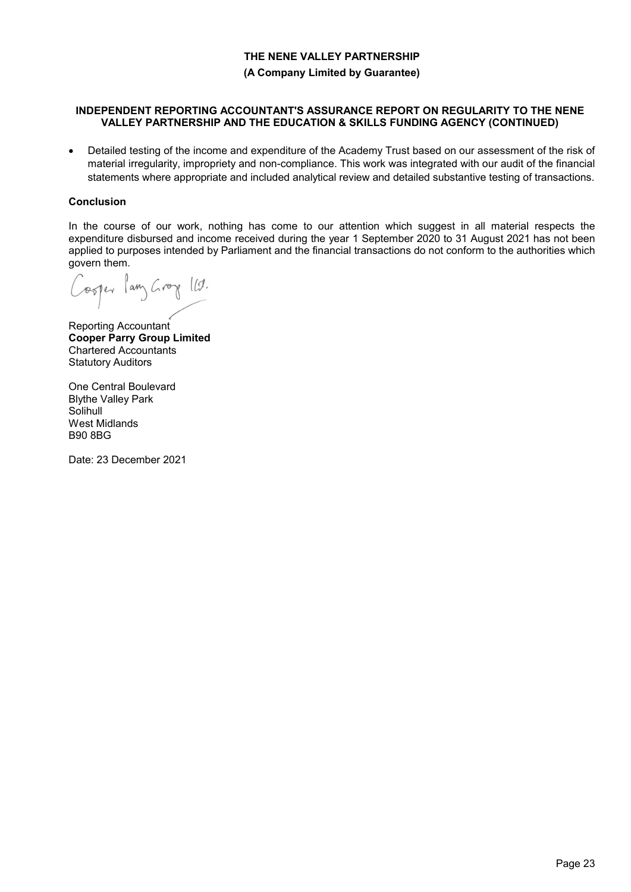**(A Company Limited by Guarantee)**

#### **INDEPENDENT REPORTING ACCOUNTANT'S ASSURANCE REPORT ON REGULARITY TO THE NENE VALLEY PARTNERSHIP AND THE EDUCATION & SKILLS FUNDING AGENCY (CONTINUED)**

 Detailed testing of the income and expenditure of the Academy Trust based on our assessment of the risk of material irregularity, impropriety and non-compliance. This work was integrated with our audit of the financial statements where appropriate and included analytical review and detailed substantive testing of transactions.

### **Conclusion**

In the course of our work, nothing has come to our attention which suggest in all material respects the expenditure disbursed and income received during the year 1 September 2020 to 31 August 2021 has not been applied to purposes intended by Parliament and the financial transactions do not conform to the authorities which govern them.

osper lang Groy 112.

Reporting Accountant **Cooper Parry Group Limited** Chartered Accountants Statutory Auditors

One Central Boulevard Blythe Valley Park **Solihull** West Midlands B90 8BG

Date: 23 December 2021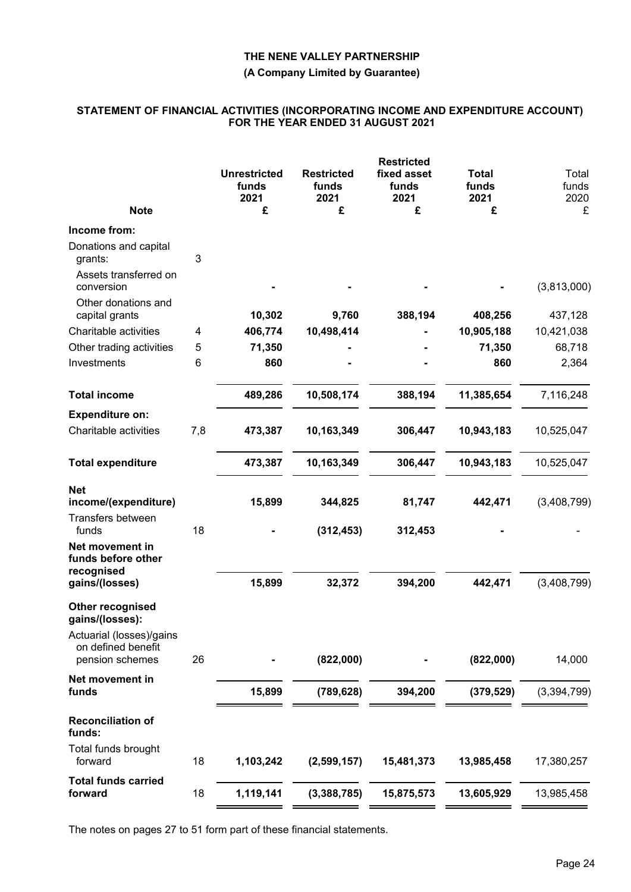#### **(A Company Limited by Guarantee)**

#### **STATEMENT OF FINANCIAL ACTIVITIES (INCORPORATING INCOME AND EXPENDITURE ACCOUNT) FOR THE YEAR ENDED 31 AUGUST 2021**

| <b>Note</b>                                                       |     | <b>Unrestricted</b><br>funds<br>2021<br>£ | <b>Restricted</b><br>funds<br>2021<br>£ | <b>Restricted</b><br>fixed asset<br>funds<br>2021<br>£ | <b>Total</b><br>funds<br>2021<br>£ | Total<br>funds<br>2020<br>£ |
|-------------------------------------------------------------------|-----|-------------------------------------------|-----------------------------------------|--------------------------------------------------------|------------------------------------|-----------------------------|
| Income from:                                                      |     |                                           |                                         |                                                        |                                    |                             |
| Donations and capital<br>grants:                                  | 3   |                                           |                                         |                                                        |                                    |                             |
| Assets transferred on<br>conversion                               |     |                                           |                                         |                                                        |                                    | (3,813,000)                 |
| Other donations and<br>capital grants                             |     | 10,302                                    | 9,760                                   | 388,194                                                | 408,256                            | 437,128                     |
| Charitable activities                                             | 4   | 406,774                                   | 10,498,414                              |                                                        | 10,905,188                         | 10,421,038                  |
| Other trading activities                                          | 5   | 71,350                                    |                                         |                                                        | 71,350                             | 68,718                      |
| Investments                                                       | 6   | 860                                       |                                         |                                                        | 860                                | 2,364                       |
| <b>Total income</b>                                               |     | 489,286                                   | 10,508,174                              | 388,194                                                | 11,385,654                         | 7,116,248                   |
| <b>Expenditure on:</b>                                            |     |                                           |                                         |                                                        |                                    |                             |
| Charitable activities                                             | 7,8 | 473,387                                   | 10,163,349                              | 306,447                                                | 10,943,183                         | 10,525,047                  |
| <b>Total expenditure</b>                                          |     | 473,387                                   | 10,163,349                              | 306,447                                                | 10,943,183                         | 10,525,047                  |
| <b>Net</b>                                                        |     |                                           |                                         |                                                        |                                    |                             |
| income/(expenditure)                                              |     | 15,899                                    | 344,825                                 | 81,747                                                 | 442,471                            | (3,408,799)                 |
| Transfers between<br>funds                                        | 18  |                                           | (312, 453)                              | 312,453                                                |                                    |                             |
| Net movement in<br>funds before other                             |     |                                           |                                         |                                                        |                                    |                             |
| recognised<br>gains/(losses)                                      |     | 15,899                                    | 32,372                                  | 394,200                                                | 442,471                            | (3,408,799)                 |
| Other recognised<br>gains/(losses):                               |     |                                           |                                         |                                                        |                                    |                             |
| Actuarial (losses)/gains<br>on defined benefit<br>pension schemes | 26  |                                           | (822,000)                               |                                                        | (822,000)                          | 14,000                      |
| Net movement in<br>funds                                          |     | 15,899                                    | (789, 628)                              | 394,200                                                | (379, 529)                         | (3, 394, 799)               |
|                                                                   |     |                                           |                                         |                                                        |                                    |                             |
| <b>Reconciliation of</b><br>funds:                                |     |                                           |                                         |                                                        |                                    |                             |
| Total funds brought<br>forward                                    | 18  | 1,103,242                                 | (2,599,157)                             | 15,481,373                                             | 13,985,458                         | 17,380,257                  |
| <b>Total funds carried</b><br>forward                             | 18  | 1,119,141                                 | (3,388,785)                             | 15,875,573                                             | 13,605,929                         | 13,985,458                  |
|                                                                   |     |                                           |                                         |                                                        |                                    |                             |

The notes on pages 27 to 51 form part of these financial statements.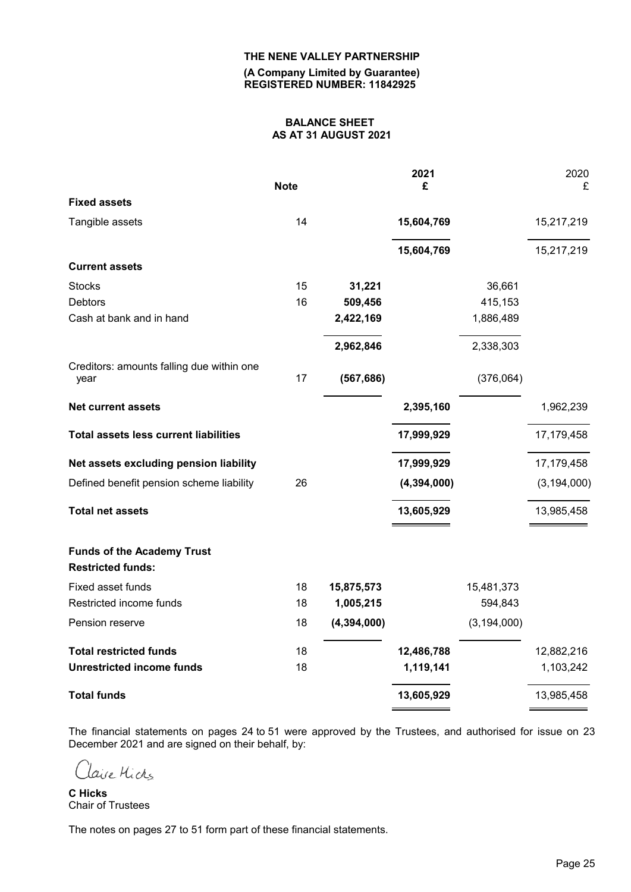**(A Company Limited by Guarantee) REGISTERED NUMBER: 11842925**

# **BALANCE SHEET AS AT 31 AUGUST 2021**

|                                                   | <b>Note</b> |               | 2021<br>£     |               | 2020<br>£     |
|---------------------------------------------------|-------------|---------------|---------------|---------------|---------------|
| <b>Fixed assets</b>                               |             |               |               |               |               |
| Tangible assets                                   | 14          |               | 15,604,769    |               | 15,217,219    |
|                                                   |             |               | 15,604,769    |               | 15,217,219    |
| <b>Current assets</b>                             |             |               |               |               |               |
| <b>Stocks</b>                                     | 15          | 31,221        |               | 36,661        |               |
| <b>Debtors</b>                                    | 16          | 509,456       |               | 415,153       |               |
| Cash at bank and in hand                          |             | 2,422,169     |               | 1,886,489     |               |
|                                                   |             | 2,962,846     |               | 2,338,303     |               |
| Creditors: amounts falling due within one<br>year | 17          | (567, 686)    |               | (376,064)     |               |
| <b>Net current assets</b>                         |             |               | 2,395,160     |               | 1,962,239     |
| <b>Total assets less current liabilities</b>      |             |               | 17,999,929    |               | 17,179,458    |
| Net assets excluding pension liability            |             |               | 17,999,929    |               | 17,179,458    |
| Defined benefit pension scheme liability          | 26          |               | (4, 394, 000) |               | (3, 194, 000) |
| <b>Total net assets</b>                           |             |               | 13,605,929    |               | 13,985,458    |
| <b>Funds of the Academy Trust</b>                 |             |               |               |               |               |
| <b>Restricted funds:</b>                          |             |               |               |               |               |
| Fixed asset funds                                 | 18          | 15,875,573    |               | 15,481,373    |               |
| Restricted income funds                           | 18          | 1,005,215     |               | 594,843       |               |
| Pension reserve                                   | 18          | (4, 394, 000) |               | (3, 194, 000) |               |
| <b>Total restricted funds</b>                     | 18          |               | 12,486,788    |               | 12,882,216    |
| <b>Unrestricted income funds</b>                  | 18          |               | 1,119,141     |               | 1,103,242     |
| <b>Total funds</b>                                |             |               | 13,605,929    |               | 13,985,458    |

The financial statements on pages 24 to 51 were approved by the Trustees, and authorised for issue on 23 December 2021 and are signed on their behalf, by:

Clave Michs

**C Hicks** Chair of Trustees

The notes on pages 27 to 51 form part of these financial statements.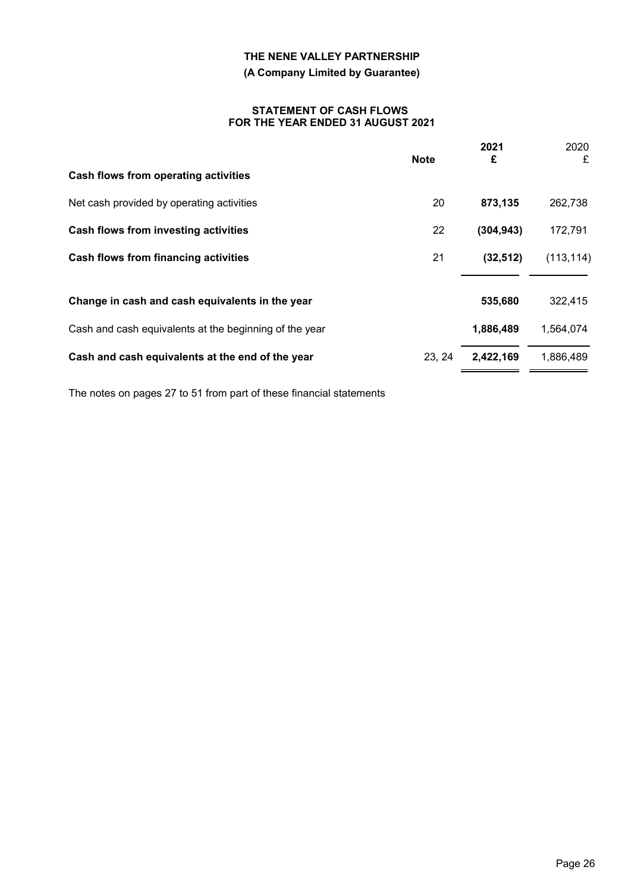# **(A Company Limited by Guarantee)**

#### **STATEMENT OF CASH FLOWS FOR THE YEAR ENDED 31 AUGUST 2021**

|                                                        | <b>Note</b> | 2021<br>£  | 2020<br>£  |
|--------------------------------------------------------|-------------|------------|------------|
| Cash flows from operating activities                   |             |            |            |
| Net cash provided by operating activities              | 20          | 873,135    | 262,738    |
| Cash flows from investing activities                   | 22          | (304, 943) | 172,791    |
| Cash flows from financing activities                   | 21          | (32, 512)  | (113, 114) |
| Change in cash and cash equivalents in the year        |             | 535,680    | 322,415    |
| Cash and cash equivalents at the beginning of the year |             | 1,886,489  | 1,564,074  |
| Cash and cash equivalents at the end of the year       | 23, 24      | 2,422,169  | 1,886,489  |

The notes on pages 27 to 51 from part of these financial statements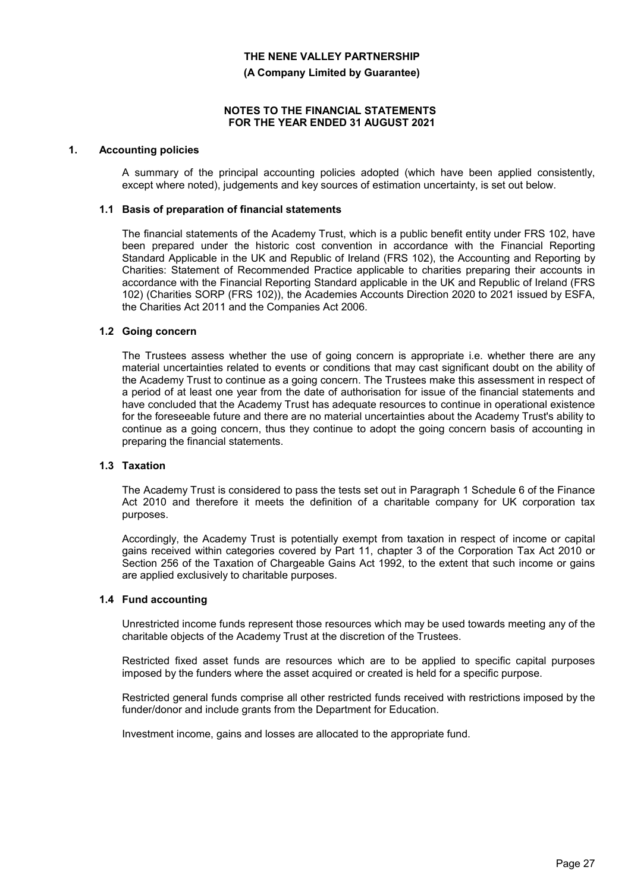**(A Company Limited by Guarantee)**

#### **NOTES TO THE FINANCIAL STATEMENTS FOR THE YEAR ENDED 31 AUGUST 2021**

#### **1. Accounting policies**

A summary of the principal accounting policies adopted (which have been applied consistently, except where noted), judgements and key sources of estimation uncertainty, is set out below.

#### **1.1 Basis of preparation of financial statements**

The financial statements of the Academy Trust, which is a public benefit entity under FRS 102, have been prepared under the historic cost convention in accordance with the Financial Reporting Standard Applicable in the UK and Republic of Ireland (FRS 102), the Accounting and Reporting by Charities: Statement of Recommended Practice applicable to charities preparing their accounts in accordance with the Financial Reporting Standard applicable in the UK and Republic of Ireland (FRS 102) (Charities SORP (FRS 102)), the Academies Accounts Direction 2020 to 2021 issued by ESFA, the Charities Act 2011 and the Companies Act 2006.

#### **1.2 Going concern**

The Trustees assess whether the use of going concern is appropriate i.e. whether there are any material uncertainties related to events or conditions that may cast significant doubt on the ability of the Academy Trust to continue as a going concern. The Trustees make this assessment in respect of a period of at least one year from the date of authorisation for issue of the financial statements and have concluded that the Academy Trust has adequate resources to continue in operational existence for the foreseeable future and there are no material uncertainties about the Academy Trust's ability to continue as a going concern, thus they continue to adopt the going concern basis of accounting in preparing the financial statements.

#### **1.3 Taxation**

The Academy Trust is considered to pass the tests set out in Paragraph 1 Schedule 6 of the Finance Act 2010 and therefore it meets the definition of a charitable company for UK corporation tax purposes.

Accordingly, the Academy Trust is potentially exempt from taxation in respect of income or capital gains received within categories covered by Part 11, chapter 3 of the Corporation Tax Act 2010 or Section 256 of the Taxation of Chargeable Gains Act 1992, to the extent that such income or gains are applied exclusively to charitable purposes.

#### **1.4 Fund accounting**

Unrestricted income funds represent those resources which may be used towards meeting any of the charitable objects of the Academy Trust at the discretion of the Trustees.

Restricted fixed asset funds are resources which are to be applied to specific capital purposes imposed by the funders where the asset acquired or created is held for a specific purpose.

Restricted general funds comprise all other restricted funds received with restrictions imposed by the funder/donor and include grants from the Department for Education.

Investment income, gains and losses are allocated to the appropriate fund.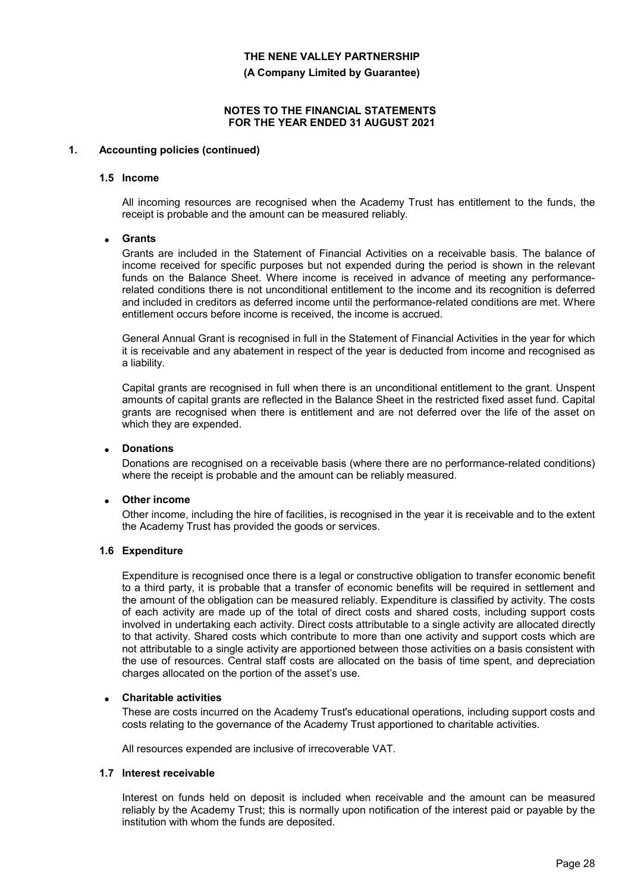**(A Company Limited by Guarantee)**

#### **NOTES TO THE FINANCIAL STATEMENTS FOR THE YEAR ENDED 31 AUGUST 2021**

#### **1. Accounting policies (continued)**

#### **1.5 Income**

All incoming resources are recognised when the Academy Trust has entitlement to the funds, the receipt is probable and the amount can be measured reliably.

#### **Grants**

Grants are included in the Statement of Financial Activities on a receivable basis. The balance of income received for specific purposes but not expended during the period is shown in the relevant funds on the Balance Sheet. Where income is received in advance of meeting any performancerelated conditions there is not unconditional entitlement to the income and its recognition is deferred and included in creditors as deferred income until the performance-related conditions are met. Where entitlement occurs before income is received, the income is accrued.

General Annual Grant is recognised in full in the Statement of Financial Activities in the year for which it is receivable and any abatement in respect of the year is deducted from income and recognised as a liability.

Capital grants are recognised in full when there is an unconditional entitlement to the grant. Unspent amounts of capital grants are reflected in the Balance Sheet in the restricted fixed asset fund. Capital grants are recognised when there is entitlement and are not deferred over the life of the asset on which they are expended.

#### **Donations**

Donations are recognised on a receivable basis (where there are no performance-related conditions) where the receipt is probable and the amount can be reliably measured.

#### **Other income**

Other income, including the hire of facilities, is recognised in the year it is receivable and to the extent the Academy Trust has provided the goods or services.

#### **1.6 Expenditure**

Expenditure is recognised once there is a legal or constructive obligation to transfer economic benefit to a third party, it is probable that a transfer of economic benefits will be required in settlement and the amount of the obligation can be measured reliably. Expenditure is classified by activity. The costs of each activity are made up of the total of direct costs and shared costs, including support costs involved in undertaking each activity. Direct costs attributable to a single activity are allocated directly to that activity. Shared costs which contribute to more than one activity and support costs which are not attributable to a single activity are apportioned between those activities on a basis consistent with the use of resources. Central staff costs are allocated on the basis of time spent, and depreciation charges allocated on the portion of the asset's use.

#### **Charitable activities**

These are costs incurred on the Academy Trust's educational operations, including support costs and costs relating to the governance of the Academy Trust apportioned to charitable activities.

All resources expended are inclusive of irrecoverable VAT.

#### **1.7 Interest receivable**

Interest on funds held on deposit is included when receivable and the amount can be measured reliably by the Academy Trust; this is normally upon notification of the interest paid or payable by the institution with whom the funds are deposited.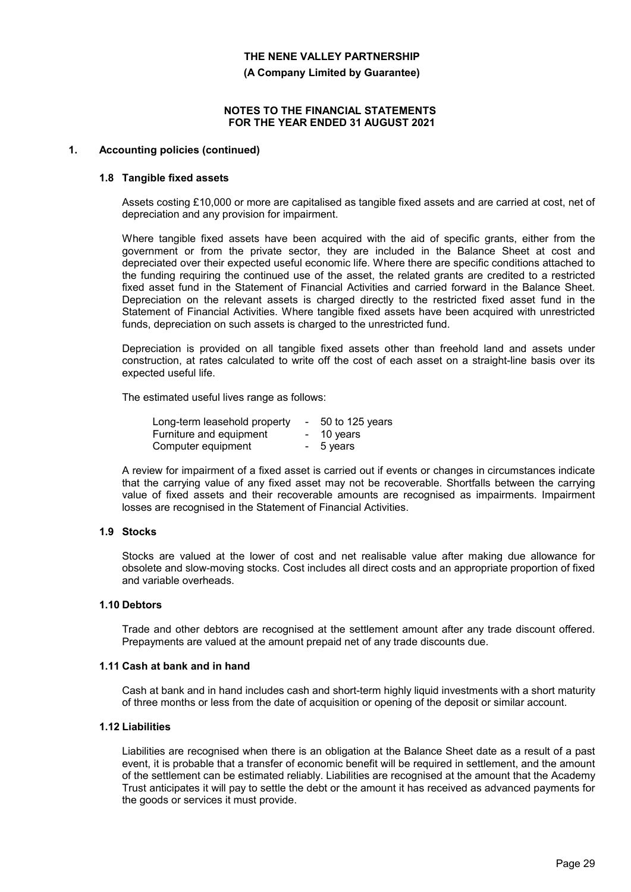**(A Company Limited by Guarantee)**

#### **NOTES TO THE FINANCIAL STATEMENTS FOR THE YEAR ENDED 31 AUGUST 2021**

#### **1. Accounting policies (continued)**

#### **1.8 Tangible fixed assets**

Assets costing £10,000 or more are capitalised as tangible fixed assets and are carried at cost, net of depreciation and any provision for impairment.

Where tangible fixed assets have been acquired with the aid of specific grants, either from the government or from the private sector, they are included in the Balance Sheet at cost and depreciated over their expected useful economic life. Where there are specific conditions attached to the funding requiring the continued use of the asset, the related grants are credited to a restricted fixed asset fund in the Statement of Financial Activities and carried forward in the Balance Sheet. Depreciation on the relevant assets is charged directly to the restricted fixed asset fund in the Statement of Financial Activities. Where tangible fixed assets have been acquired with unrestricted funds, depreciation on such assets is charged to the unrestricted fund.

Depreciation is provided on all tangible fixed assets other than freehold land and assets under construction, at rates calculated to write off the cost of each asset on a straight-line basis over its expected useful life.

The estimated useful lives range as follows:

| Long-term leasehold property | $\sim$ | 50 to 125 years |
|------------------------------|--------|-----------------|
| Furniture and equipment      |        | - 10 years      |
| Computer equipment           |        | - 5 years       |

A review for impairment of a fixed asset is carried out if events or changes in circumstances indicate that the carrying value of any fixed asset may not be recoverable. Shortfalls between the carrying value of fixed assets and their recoverable amounts are recognised as impairments. Impairment losses are recognised in the Statement of Financial Activities.

#### **1.9 Stocks**

Stocks are valued at the lower of cost and net realisable value after making due allowance for obsolete and slow-moving stocks. Cost includes all direct costs and an appropriate proportion of fixed and variable overheads.

#### **1.10 Debtors**

Trade and other debtors are recognised at the settlement amount after any trade discount offered. Prepayments are valued at the amount prepaid net of any trade discounts due.

#### **1.11 Cash at bank and in hand**

Cash at bank and in hand includes cash and short-term highly liquid investments with a short maturity of three months or less from the date of acquisition or opening of the deposit or similar account.

#### **1.12 Liabilities**

Liabilities are recognised when there is an obligation at the Balance Sheet date as a result of a past event, it is probable that a transfer of economic benefit will be required in settlement, and the amount of the settlement can be estimated reliably. Liabilities are recognised at the amount that the Academy Trust anticipates it will pay to settle the debt or the amount it has received as advanced payments for the goods or services it must provide.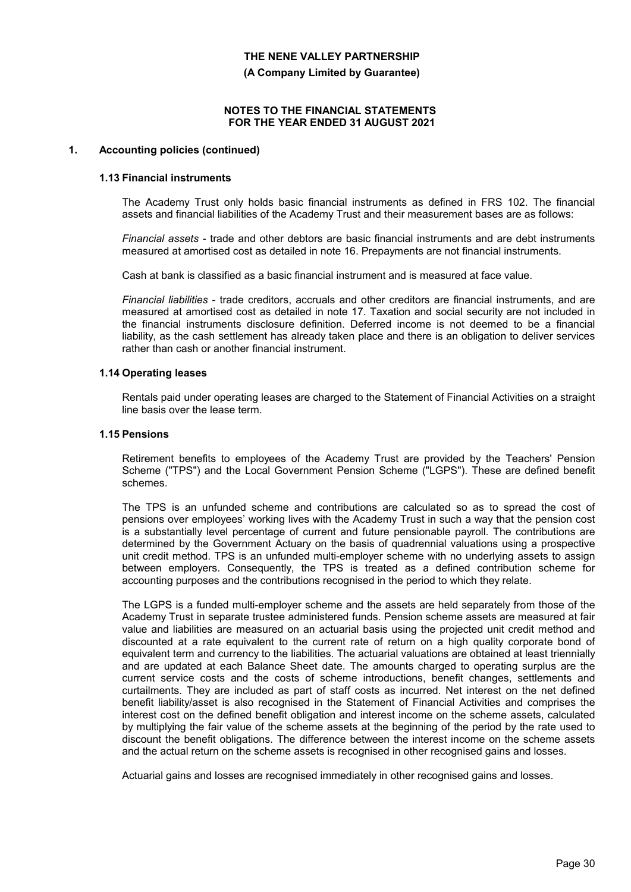**(A Company Limited by Guarantee)**

#### **NOTES TO THE FINANCIAL STATEMENTS FOR THE YEAR ENDED 31 AUGUST 2021**

#### **1. Accounting policies (continued)**

#### **1.13 Financial instruments**

The Academy Trust only holds basic financial instruments as defined in FRS 102. The financial assets and financial liabilities of the Academy Trust and their measurement bases are as follows:

*Financial assets* - trade and other debtors are basic financial instruments and are debt instruments measured at amortised cost as detailed in note 16. Prepayments are not financial instruments.

Cash at bank is classified as a basic financial instrument and is measured at face value.

*Financial liabilities* - trade creditors, accruals and other creditors are financial instruments, and are measured at amortised cost as detailed in note 17. Taxation and social security are not included in the financial instruments disclosure definition. Deferred income is not deemed to be a financial liability, as the cash settlement has already taken place and there is an obligation to deliver services rather than cash or another financial instrument.

#### **1.14 Operating leases**

Rentals paid under operating leases are charged to the Statement of Financial Activities on a straight line basis over the lease term.

#### **1.15 Pensions**

Retirement benefits to employees of the Academy Trust are provided by the Teachers' Pension Scheme ("TPS") and the Local Government Pension Scheme ("LGPS"). These are defined benefit schemes.

The TPS is an unfunded scheme and contributions are calculated so as to spread the cost of pensions over employees' working lives with the Academy Trust in such a way that the pension cost is a substantially level percentage of current and future pensionable payroll. The contributions are determined by the Government Actuary on the basis of quadrennial valuations using a prospective unit credit method. TPS is an unfunded multi-employer scheme with no underlying assets to assign between employers. Consequently, the TPS is treated as a defined contribution scheme for accounting purposes and the contributions recognised in the period to which they relate.

The LGPS is a funded multi-employer scheme and the assets are held separately from those of the Academy Trust in separate trustee administered funds. Pension scheme assets are measured at fair value and liabilities are measured on an actuarial basis using the projected unit credit method and discounted at a rate equivalent to the current rate of return on a high quality corporate bond of equivalent term and currency to the liabilities. The actuarial valuations are obtained at least triennially and are updated at each Balance Sheet date. The amounts charged to operating surplus are the current service costs and the costs of scheme introductions, benefit changes, settlements and curtailments. They are included as part of staff costs as incurred. Net interest on the net defined benefit liability/asset is also recognised in the Statement of Financial Activities and comprises the interest cost on the defined benefit obligation and interest income on the scheme assets, calculated by multiplying the fair value of the scheme assets at the beginning of the period by the rate used to discount the benefit obligations. The difference between the interest income on the scheme assets and the actual return on the scheme assets is recognised in other recognised gains and losses.

Actuarial gains and losses are recognised immediately in other recognised gains and losses.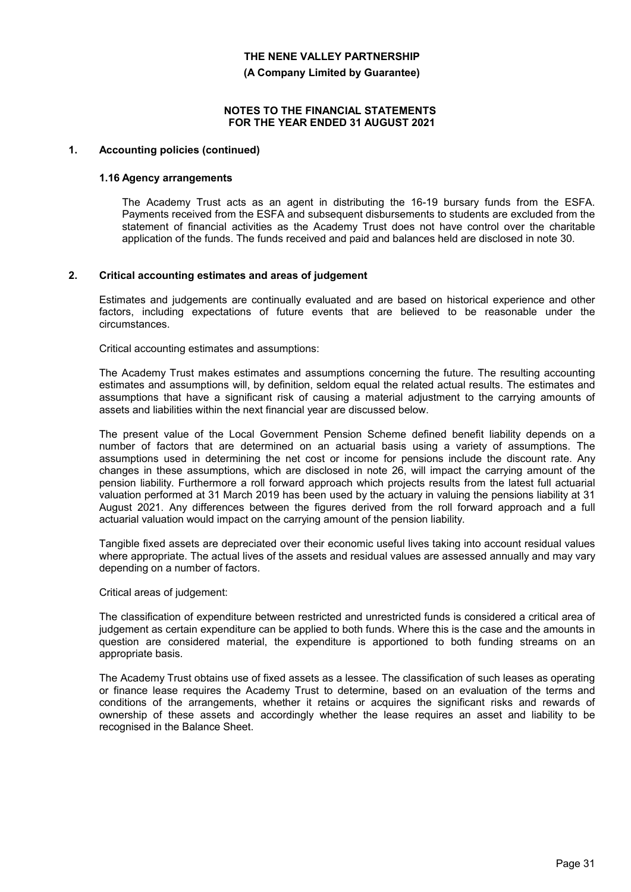**(A Company Limited by Guarantee)**

#### **NOTES TO THE FINANCIAL STATEMENTS FOR THE YEAR ENDED 31 AUGUST 2021**

### **1. Accounting policies (continued)**

#### **1.16 Agency arrangements**

The Academy Trust acts as an agent in distributing the 16-19 bursary funds from the ESFA. Payments received from the ESFA and subsequent disbursements to students are excluded from the statement of financial activities as the Academy Trust does not have control over the charitable application of the funds. The funds received and paid and balances held are disclosed in note 30.

#### **2. Critical accounting estimates and areas of judgement**

Estimates and judgements are continually evaluated and are based on historical experience and other factors, including expectations of future events that are believed to be reasonable under the circumstances.

Critical accounting estimates and assumptions:

The Academy Trust makes estimates and assumptions concerning the future. The resulting accounting estimates and assumptions will, by definition, seldom equal the related actual results. The estimates and assumptions that have a significant risk of causing a material adjustment to the carrying amounts of assets and liabilities within the next financial year are discussed below.

The present value of the Local Government Pension Scheme defined benefit liability depends on a number of factors that are determined on an actuarial basis using a variety of assumptions. The assumptions used in determining the net cost or income for pensions include the discount rate. Any changes in these assumptions, which are disclosed in note 26, will impact the carrying amount of the pension liability. Furthermore a roll forward approach which projects results from the latest full actuarial valuation performed at 31 March 2019 has been used by the actuary in valuing the pensions liability at 31 August 2021. Any differences between the figures derived from the roll forward approach and a full actuarial valuation would impact on the carrying amount of the pension liability.

Tangible fixed assets are depreciated over their economic useful lives taking into account residual values where appropriate. The actual lives of the assets and residual values are assessed annually and may vary depending on a number of factors.

Critical areas of judgement:

The classification of expenditure between restricted and unrestricted funds is considered a critical area of judgement as certain expenditure can be applied to both funds. Where this is the case and the amounts in question are considered material, the expenditure is apportioned to both funding streams on an appropriate basis.

The Academy Trust obtains use of fixed assets as a lessee. The classification of such leases as operating or finance lease requires the Academy Trust to determine, based on an evaluation of the terms and conditions of the arrangements, whether it retains or acquires the significant risks and rewards of ownership of these assets and accordingly whether the lease requires an asset and liability to be recognised in the Balance Sheet.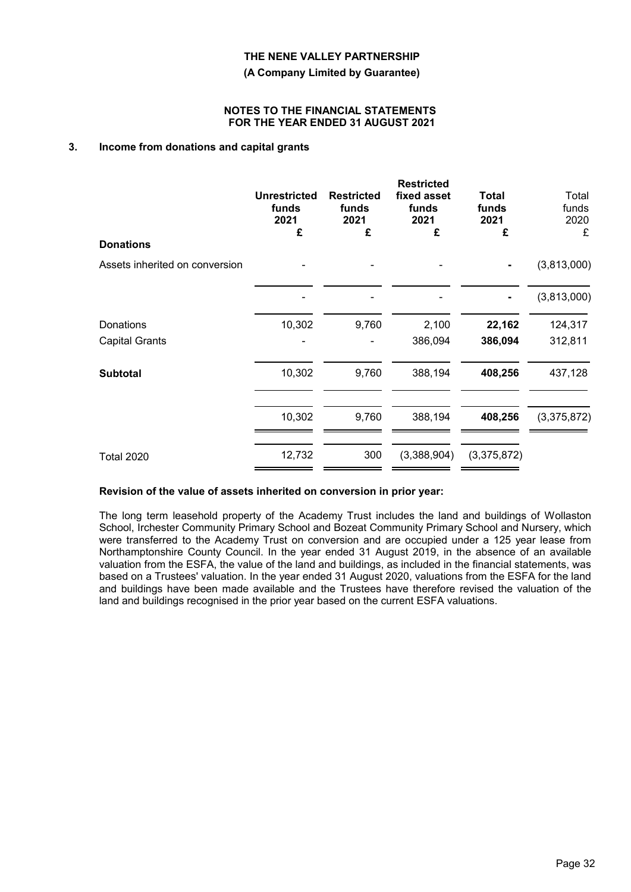**(A Company Limited by Guarantee)**

#### **NOTES TO THE FINANCIAL STATEMENTS FOR THE YEAR ENDED 31 AUGUST 2021**

### **3. Income from donations and capital grants**

|                                | <b>Unrestricted</b><br>funds<br>2021<br>£ | <b>Restricted</b><br>funds<br>2021<br>£ | <b>Restricted</b><br>fixed asset<br>funds<br>2021<br>£ | <b>Total</b><br>funds<br>2021<br>£ | Total<br>funds<br>2020<br>£ |
|--------------------------------|-------------------------------------------|-----------------------------------------|--------------------------------------------------------|------------------------------------|-----------------------------|
| <b>Donations</b>               |                                           |                                         |                                                        |                                    |                             |
| Assets inherited on conversion |                                           |                                         |                                                        |                                    | (3,813,000)                 |
|                                |                                           |                                         |                                                        |                                    | (3,813,000)                 |
| Donations                      | 10,302                                    | 9,760                                   | 2,100                                                  | 22,162                             | 124,317                     |
| <b>Capital Grants</b>          |                                           |                                         | 386,094                                                | 386,094                            | 312,811                     |
| <b>Subtotal</b>                | 10,302                                    | 9,760                                   | 388,194                                                | 408,256                            | 437,128                     |
|                                | 10,302                                    | 9,760                                   | 388,194                                                | 408,256                            | (3,375,872)                 |
| <b>Total 2020</b>              | 12,732                                    | 300                                     | (3,388,904)                                            | (3,375,872)                        |                             |

#### **Revision of the value of assets inherited on conversion in prior year:**

The long term leasehold property of the Academy Trust includes the land and buildings of Wollaston School, Irchester Community Primary School and Bozeat Community Primary School and Nursery, which were transferred to the Academy Trust on conversion and are occupied under a 125 year lease from Northamptonshire County Council. In the year ended 31 August 2019, in the absence of an available valuation from the ESFA, the value of the land and buildings, as included in the financial statements, was based on a Trustees' valuation. In the year ended 31 August 2020, valuations from the ESFA for the land and buildings have been made available and the Trustees have therefore revised the valuation of the land and buildings recognised in the prior year based on the current ESFA valuations.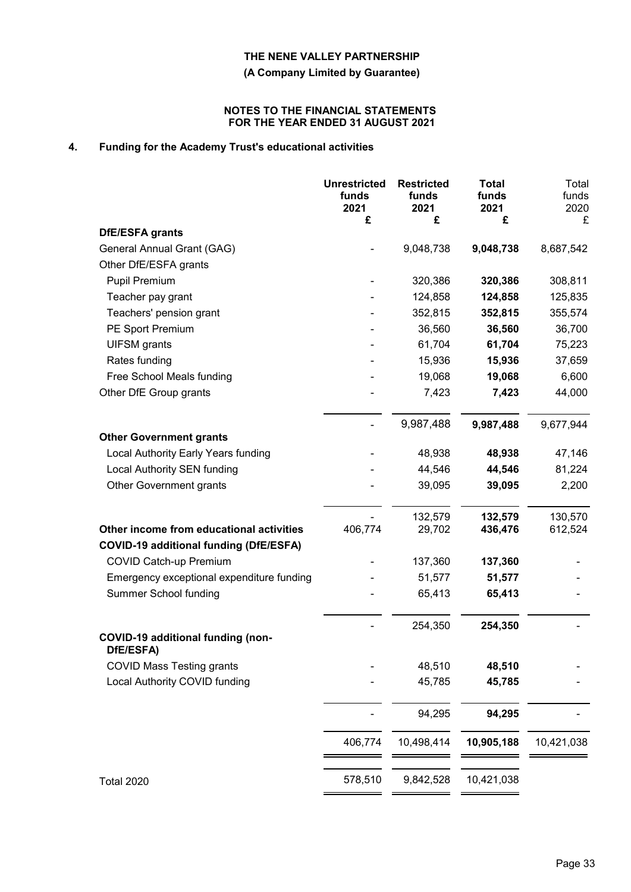**(A Company Limited by Guarantee)**

#### **NOTES TO THE FINANCIAL STATEMENTS FOR THE YEAR ENDED 31 AUGUST 2021**

# **4. Funding for the Academy Trust's educational activities**

|                                                | <b>Unrestricted</b><br>funds<br>2021<br>£ | <b>Restricted</b><br>funds<br>2021<br>£ | <b>Total</b><br>funds<br>2021<br>£ | Total<br>funds<br>2020<br>£ |
|------------------------------------------------|-------------------------------------------|-----------------------------------------|------------------------------------|-----------------------------|
| DfE/ESFA grants                                |                                           |                                         |                                    |                             |
| General Annual Grant (GAG)                     |                                           | 9,048,738                               | 9,048,738                          | 8,687,542                   |
| Other DfE/ESFA grants                          |                                           |                                         |                                    |                             |
| Pupil Premium                                  |                                           | 320,386                                 | 320,386                            | 308,811                     |
| Teacher pay grant                              |                                           | 124,858                                 | 124,858                            | 125,835                     |
| Teachers' pension grant                        |                                           | 352,815                                 | 352,815                            | 355,574                     |
| PE Sport Premium                               |                                           | 36,560                                  | 36,560                             | 36,700                      |
| <b>UIFSM</b> grants                            |                                           | 61,704                                  | 61,704                             | 75,223                      |
| Rates funding                                  |                                           | 15,936                                  | 15,936                             | 37,659                      |
| Free School Meals funding                      |                                           | 19,068                                  | 19,068                             | 6,600                       |
| Other DfE Group grants                         |                                           | 7,423                                   | 7,423                              | 44,000                      |
|                                                |                                           | 9,987,488                               | 9,987,488                          | 9,677,944                   |
| <b>Other Government grants</b>                 |                                           |                                         |                                    |                             |
| Local Authority Early Years funding            |                                           | 48,938                                  | 48,938                             | 47,146                      |
| <b>Local Authority SEN funding</b>             |                                           | 44,546                                  | 44,546                             | 81,224                      |
| Other Government grants                        |                                           | 39,095                                  | 39,095                             | 2,200                       |
| Other income from educational activities       | 406,774                                   | 132,579<br>29,702                       | 132,579<br>436,476                 | 130,570<br>612,524          |
| <b>COVID-19 additional funding (DfE/ESFA)</b>  |                                           |                                         |                                    |                             |
| <b>COVID Catch-up Premium</b>                  |                                           | 137,360                                 | 137,360                            |                             |
| Emergency exceptional expenditure funding      |                                           | 51,577                                  | 51,577                             |                             |
| <b>Summer School funding</b>                   |                                           | 65,413                                  | 65,413                             |                             |
|                                                |                                           | 254,350                                 | 254,350                            |                             |
| COVID-19 additional funding (non-<br>DfE/ESFA) |                                           |                                         |                                    |                             |
| <b>COVID Mass Testing grants</b>               |                                           | 48,510                                  | 48,510                             |                             |
| Local Authority COVID funding                  |                                           | 45,785                                  | 45,785                             |                             |
|                                                |                                           | 94,295                                  | 94,295                             |                             |
|                                                | 406,774                                   | 10,498,414                              | 10,905,188                         | 10,421,038                  |
|                                                |                                           |                                         |                                    |                             |
| <b>Total 2020</b>                              | 578,510                                   | 9,842,528                               | 10,421,038                         |                             |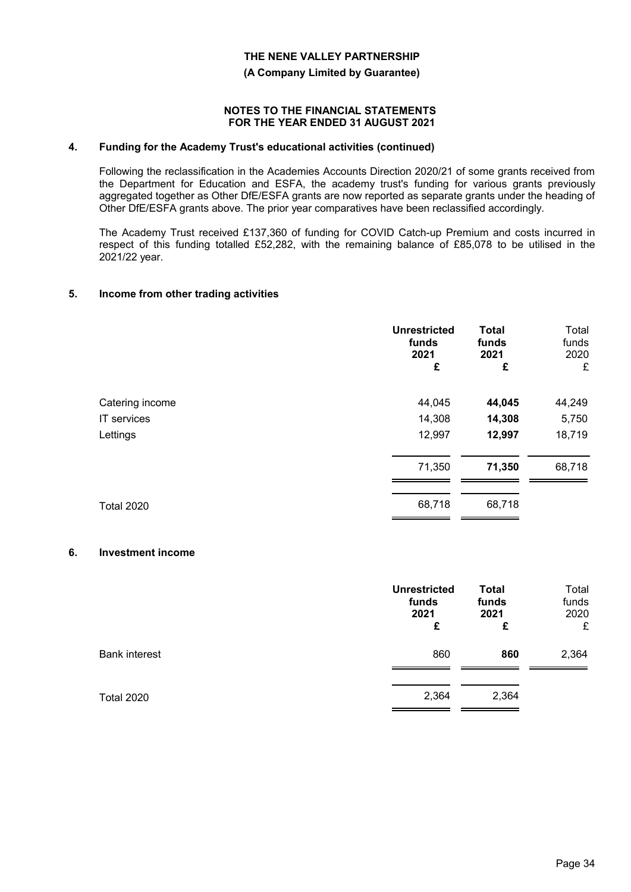**(A Company Limited by Guarantee)**

#### **NOTES TO THE FINANCIAL STATEMENTS FOR THE YEAR ENDED 31 AUGUST 2021**

#### **4. Funding for the Academy Trust's educational activities (continued)**

Following the reclassification in the Academies Accounts Direction 2020/21 of some grants received from the Department for Education and ESFA, the academy trust's funding for various grants previously aggregated together as Other DfE/ESFA grants are now reported as separate grants under the heading of Other DfE/ESFA grants above. The prior year comparatives have been reclassified accordingly.

The Academy Trust received £137,360 of funding for COVID Catch-up Premium and costs incurred in respect of this funding totalled £52,282, with the remaining balance of £85,078 to be utilised in the 2021/22 year.

#### **5. Income from other trading activities**

|                   | <b>Unrestricted</b><br>funds<br>2021<br>£ | <b>Total</b><br>funds<br>2021<br>£ | Total<br>funds<br>2020<br>£ |
|-------------------|-------------------------------------------|------------------------------------|-----------------------------|
| Catering income   | 44,045                                    | 44,045                             | 44,249                      |
| IT services       | 14,308                                    | 14,308                             | 5,750                       |
| Lettings          | 12,997                                    | 12,997                             | 18,719                      |
|                   | 71,350                                    | 71,350                             | 68,718                      |
| <b>Total 2020</b> | 68,718                                    | 68,718                             |                             |

#### **6. Investment income**

|                      | <b>Unrestricted</b><br>funds<br>2021<br>£ | <b>Total</b><br>funds<br>2021<br>£ | Total<br>funds<br>2020<br>£ |
|----------------------|-------------------------------------------|------------------------------------|-----------------------------|
| <b>Bank interest</b> | 860                                       | 860                                | 2,364                       |
| <b>Total 2020</b>    | 2,364                                     | 2,364                              |                             |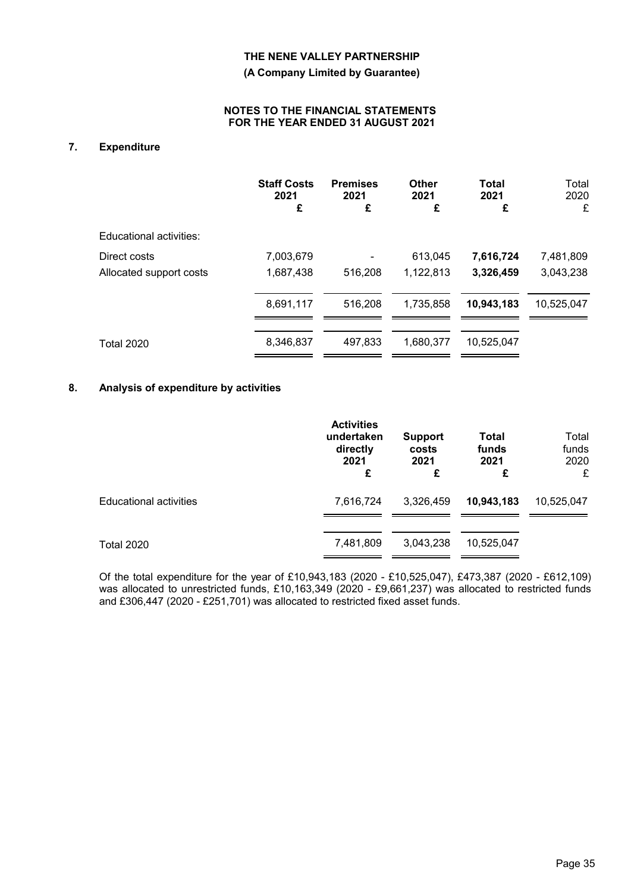**(A Company Limited by Guarantee)**

#### **NOTES TO THE FINANCIAL STATEMENTS FOR THE YEAR ENDED 31 AUGUST 2021**

# **7. Expenditure**

|                         | <b>Staff Costs</b><br>2021<br>£ | <b>Premises</b><br>2021<br>£ | <b>Other</b><br>2021<br>£ | Total<br>2021<br>£ | Total<br>2020<br>£ |
|-------------------------|---------------------------------|------------------------------|---------------------------|--------------------|--------------------|
| Educational activities: |                                 |                              |                           |                    |                    |
| Direct costs            | 7,003,679                       |                              | 613,045                   | 7,616,724          | 7,481,809          |
| Allocated support costs | 1,687,438                       | 516,208                      | 1,122,813                 | 3,326,459          | 3,043,238          |
|                         | 8,691,117                       | 516,208                      | 1,735,858                 | 10,943,183         | 10,525,047         |
| <b>Total 2020</b>       | 8,346,837                       | 497.833                      | 1.680.377                 | 10.525.047         |                    |

### **8. Analysis of expenditure by activities**

|                               | <b>Activities</b><br>undertaken<br>directly<br>2021<br>£ | <b>Support</b><br>costs<br>2021<br>£ | Total<br>funds<br>2021<br>£ | Total<br>funds<br>2020<br>£ |
|-------------------------------|----------------------------------------------------------|--------------------------------------|-----------------------------|-----------------------------|
| <b>Educational activities</b> | 7,616,724                                                | 3,326,459                            | 10,943,183                  | 10,525,047                  |
| <b>Total 2020</b>             | 7,481,809                                                | 3,043,238                            | 10,525,047                  |                             |

Of the total expenditure for the year of £10,943,183 (2020 - £10,525,047), £473,387 (2020 - £612,109) was allocated to unrestricted funds, £10,163,349 (2020 - £9,661,237) was allocated to restricted funds and £306,447 (2020 - £251,701) was allocated to restricted fixed asset funds.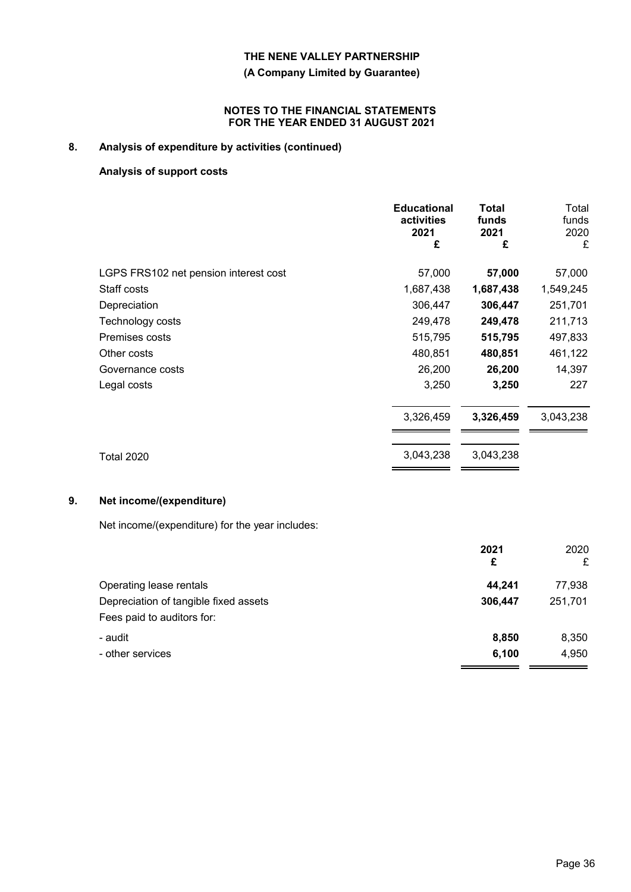### **(A Company Limited by Guarantee)**

#### **NOTES TO THE FINANCIAL STATEMENTS FOR THE YEAR ENDED 31 AUGUST 2021**

# **8. Analysis of expenditure by activities (continued)**

# **Analysis of support costs**

|                                       | <b>Educational</b><br>activities<br>2021<br>£ | Total<br>funds<br>2021<br>£ | Total<br>funds<br>2020<br>£ |
|---------------------------------------|-----------------------------------------------|-----------------------------|-----------------------------|
| LGPS FRS102 net pension interest cost | 57,000                                        | 57,000                      | 57,000                      |
| Staff costs                           | 1,687,438                                     | 1,687,438                   | 1,549,245                   |
| Depreciation                          | 306,447                                       | 306,447                     | 251,701                     |
| Technology costs                      | 249,478                                       | 249,478                     | 211,713                     |
| Premises costs                        | 515,795                                       | 515,795                     | 497,833                     |
| Other costs                           | 480,851                                       | 480,851                     | 461,122                     |
| Governance costs                      | 26,200                                        | 26,200                      | 14,397                      |
| Legal costs                           | 3,250                                         | 3,250                       | 227                         |
|                                       | 3,326,459                                     | 3,326,459                   | 3,043,238                   |
| <b>Total 2020</b>                     | 3,043,238                                     | 3,043,238                   |                             |

# **9. Net income/(expenditure)**

Net income/(expenditure) for the year includes:

|                                       | 2021<br>£ | 2020<br>£ |
|---------------------------------------|-----------|-----------|
| Operating lease rentals               | 44.241    | 77,938    |
| Depreciation of tangible fixed assets | 306,447   | 251,701   |
| Fees paid to auditors for:            |           |           |
| - audit                               | 8,850     | 8,350     |
| - other services                      | 6,100     | 4,950     |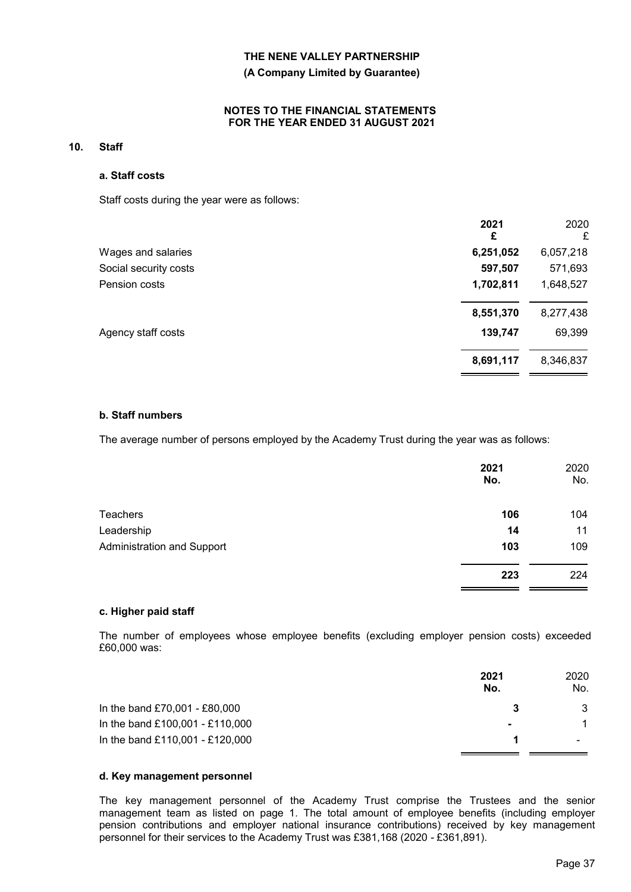#### **(A Company Limited by Guarantee)**

#### **NOTES TO THE FINANCIAL STATEMENTS FOR THE YEAR ENDED 31 AUGUST 2021**

#### **10. Staff**

#### **a. Staff costs**

Staff costs during the year were as follows:

|                       | 2021<br>£ | 2020<br>£ |
|-----------------------|-----------|-----------|
| Wages and salaries    | 6,251,052 | 6,057,218 |
| Social security costs | 597,507   | 571,693   |
| Pension costs         | 1,702,811 | 1,648,527 |
|                       | 8,551,370 | 8,277,438 |
| Agency staff costs    | 139,747   | 69,399    |
|                       | 8,691,117 | 8,346,837 |

#### **b. Staff numbers**

The average number of persons employed by the Academy Trust during the year was as follows:

|                                   | 2021<br>No. | 2020<br>No. |
|-----------------------------------|-------------|-------------|
| <b>Teachers</b>                   | 106         | 104         |
| Leadership                        | 14          | 11          |
| <b>Administration and Support</b> | 103         | 109         |
|                                   | 223         | 224         |
|                                   |             |             |

#### **c. Higher paid staff**

The number of employees whose employee benefits (excluding employer pension costs) exceeded £60,000 was:

|                                 | 2021<br>No.    | 2020<br>No. |
|---------------------------------|----------------|-------------|
| In the band £70,001 - £80,000   |                | 3           |
| In the band £100,001 - £110,000 | $\blacksquare$ |             |
| In the band £110,001 - £120,000 |                |             |

#### **d. Key management personnel**

The key management personnel of the Academy Trust comprise the Trustees and the senior management team as listed on page 1. The total amount of employee benefits (including employer pension contributions and employer national insurance contributions) received by key management personnel for their services to the Academy Trust was £381,168 (2020 *-* £361,891).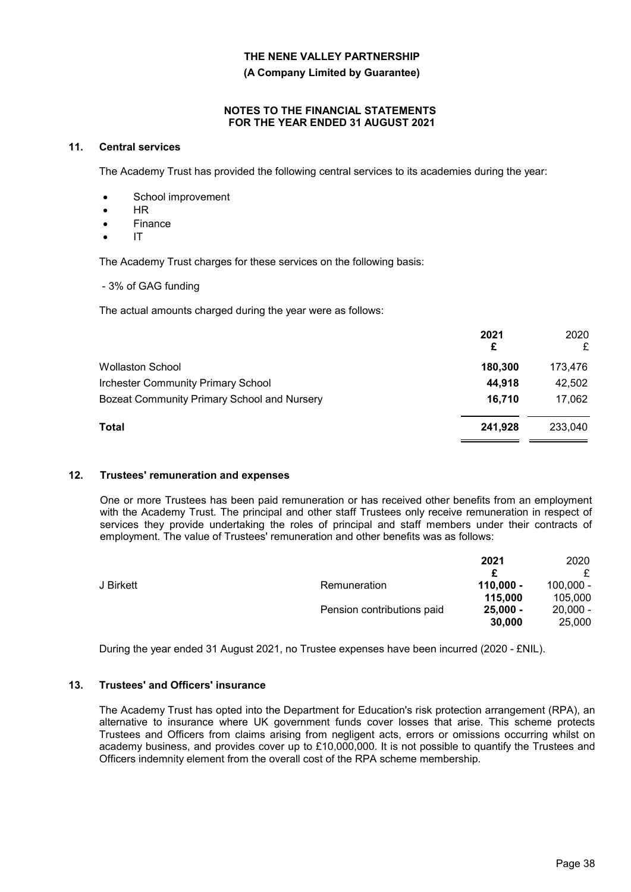**(A Company Limited by Guarantee)**

#### **NOTES TO THE FINANCIAL STATEMENTS FOR THE YEAR ENDED 31 AUGUST 2021**

#### **11. Central services**

The Academy Trust has provided the following central services to its academies during the year:

- School improvement
- HR
- Finance
- IT

The Academy Trust charges for these services on the following basis:

- 3% of GAG funding

The actual amounts charged during the year were as follows:

|                                             | 2021<br>£ | 2020<br>£ |
|---------------------------------------------|-----------|-----------|
| <b>Wollaston School</b>                     | 180,300   | 173,476   |
| <b>Irchester Community Primary School</b>   | 44,918    | 42,502    |
| Bozeat Community Primary School and Nursery | 16,710    | 17,062    |
| Total                                       | 241.928   | 233,040   |
|                                             |           |           |

### **12. Trustees' remuneration and expenses**

One or more Trustees has been paid remuneration or has received other benefits from an employment with the Academy Trust. The principal and other staff Trustees only receive remuneration in respect of services they provide undertaking the roles of principal and staff members under their contracts of employment. The value of Trustees' remuneration and other benefits was as follows:

|           |                            | 2021        | 2020        |
|-----------|----------------------------|-------------|-------------|
|           |                            |             |             |
| J Birkett | Remuneration               | $110,000 -$ | $100.000 -$ |
|           |                            | 115,000     | 105,000     |
|           | Pension contributions paid | $25,000 -$  | $20,000 -$  |
|           |                            | 30,000      | 25,000      |

During the year ended 31 August 2021, no Trustee expenses have been incurred (2020 - £NIL).

### **13. Trustees' and Officers' insurance**

The Academy Trust has opted into the Department for Education's risk protection arrangement (RPA), an alternative to insurance where UK government funds cover losses that arise. This scheme protects Trustees and Officers from claims arising from negligent acts, errors or omissions occurring whilst on academy business, and provides cover up to £10,000,000. It is not possible to quantify the Trustees and Officers indemnity element from the overall cost of the RPA scheme membership.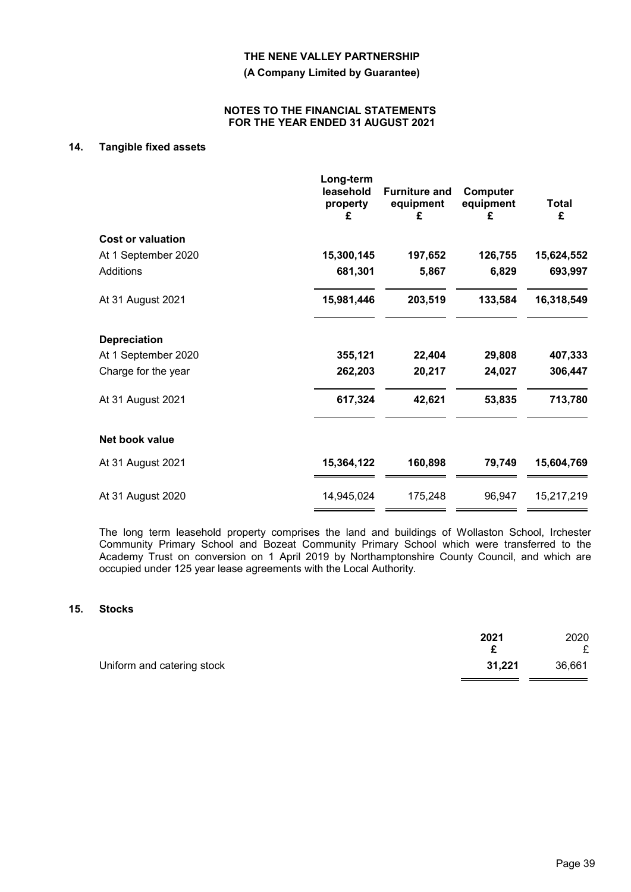**(A Company Limited by Guarantee)**

#### **NOTES TO THE FINANCIAL STATEMENTS FOR THE YEAR ENDED 31 AUGUST 2021**

# **14. Tangible fixed assets**

|                          | Long-term<br>leasehold<br>property<br>£ | <b>Furniture and</b><br>equipment<br>£ | Computer<br>equipment<br>£ | <b>Total</b><br>£ |
|--------------------------|-----------------------------------------|----------------------------------------|----------------------------|-------------------|
| <b>Cost or valuation</b> |                                         |                                        |                            |                   |
| At 1 September 2020      | 15,300,145                              | 197,652                                | 126,755                    | 15,624,552        |
| Additions                | 681,301                                 | 5,867                                  | 6,829                      | 693,997           |
| At 31 August 2021        | 15,981,446                              | 203,519                                | 133,584                    | 16,318,549        |
| <b>Depreciation</b>      |                                         |                                        |                            |                   |
| At 1 September 2020      | 355,121                                 | 22,404                                 | 29,808                     | 407,333           |
| Charge for the year      | 262,203                                 | 20,217                                 | 24,027                     | 306,447           |
| At 31 August 2021        | 617,324                                 | 42,621                                 | 53,835                     | 713,780           |
| Net book value           |                                         |                                        |                            |                   |
| At 31 August 2021        | 15,364,122                              | 160,898                                | 79,749                     | 15,604,769        |
| At 31 August 2020        | 14,945,024                              | 175,248                                | 96,947                     | 15,217,219        |

The long term leasehold property comprises the land and buildings of Wollaston School, Irchester Community Primary School and Bozeat Community Primary School which were transferred to the Academy Trust on conversion on 1 April 2019 by Northamptonshire County Council, and which are occupied under 125 year lease agreements with the Local Authority.

#### **15. Stocks**

|                            | 2021   | 2020        |
|----------------------------|--------|-------------|
| Uniform and catering stock | 31,221 | £<br>36,661 |
|                            |        |             |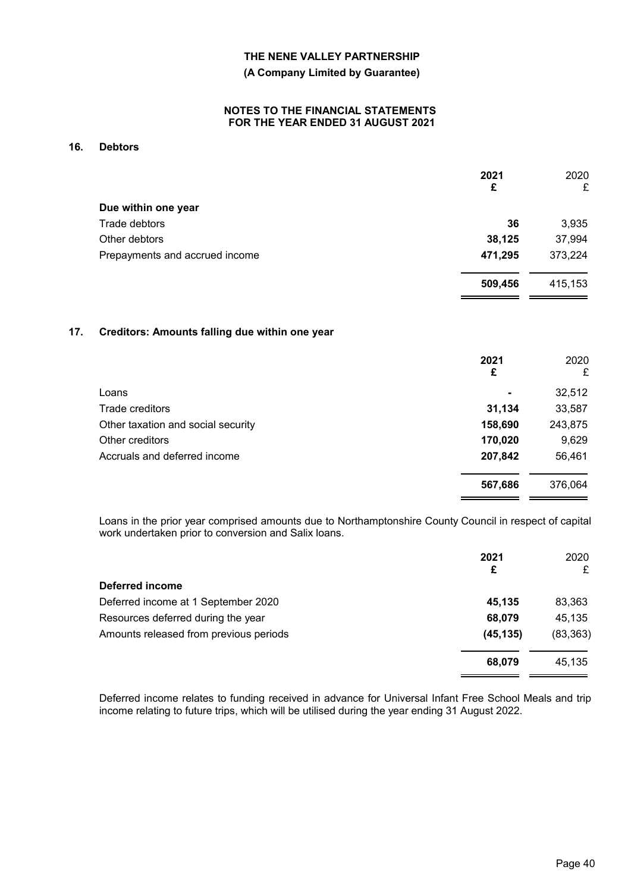#### **(A Company Limited by Guarantee)**

#### **NOTES TO THE FINANCIAL STATEMENTS FOR THE YEAR ENDED 31 AUGUST 2021**

# **16. Debtors**

|                                | 2021<br>£ | 2020<br>£ |
|--------------------------------|-----------|-----------|
| Due within one year            |           |           |
| Trade debtors                  | 36        | 3,935     |
| Other debtors                  | 38,125    | 37,994    |
| Prepayments and accrued income | 471,295   | 373,224   |
|                                | 509,456   | 415,153   |

#### **17. Creditors: Amounts falling due within one year**

|                                    | 2021<br>£      | 2020<br>£ |
|------------------------------------|----------------|-----------|
| Loans                              | $\blacksquare$ | 32,512    |
| Trade creditors                    | 31,134         | 33,587    |
| Other taxation and social security | 158,690        | 243,875   |
| Other creditors                    | 170,020        | 9,629     |
| Accruals and deferred income       | 207,842        | 56,461    |
|                                    | 567,686        | 376,064   |

Loans in the prior year comprised amounts due to Northamptonshire County Council in respect of capital work undertaken prior to conversion and Salix loans.

|                                        | 2021<br>£ | 2020<br>£ |
|----------------------------------------|-----------|-----------|
| Deferred income                        |           |           |
| Deferred income at 1 September 2020    | 45.135    | 83,363    |
| Resources deferred during the year     | 68,079    | 45,135    |
| Amounts released from previous periods | (45, 135) | (83, 363) |
|                                        | 68,079    | 45,135    |

Deferred income relates to funding received in advance for Universal Infant Free School Meals and trip income relating to future trips, which will be utilised during the year ending 31 August 2022.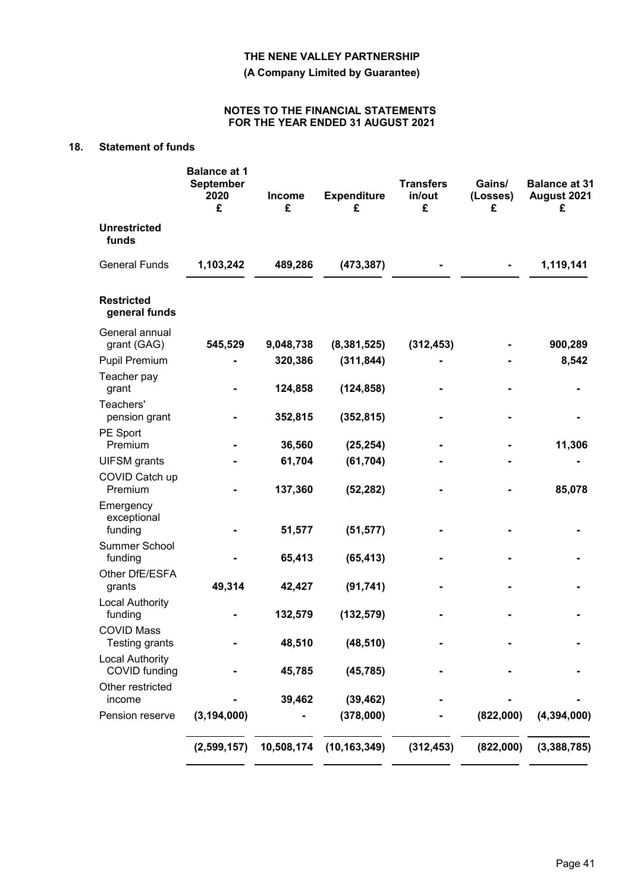**(A Company Limited by Guarantee)**

#### **NOTES TO THE FINANCIAL STATEMENTS FOR THE YEAR ENDED 31 AUGUST 2021**

# **18. Statement of funds**

|                                         | <b>Balance at 1</b><br><b>September</b><br>2020<br>£ | <b>Income</b><br>£ | <b>Expenditure</b><br>£ | <b>Transfers</b><br>in/out<br>£ | Gains/<br>(Losses)<br>£ | <b>Balance at 31</b><br>August 2021<br>£ |
|-----------------------------------------|------------------------------------------------------|--------------------|-------------------------|---------------------------------|-------------------------|------------------------------------------|
| <b>Unrestricted</b><br>funds            |                                                      |                    |                         |                                 |                         |                                          |
| <b>General Funds</b>                    | 1,103,242                                            | 489,286            | (473, 387)              |                                 |                         | 1,119,141                                |
| <b>Restricted</b><br>general funds      |                                                      |                    |                         |                                 |                         |                                          |
| General annual<br>grant (GAG)           | 545,529                                              | 9,048,738          | (8, 381, 525)           | (312, 453)                      |                         | 900,289                                  |
| Pupil Premium                           |                                                      | 320,386            | (311, 844)              |                                 |                         | 8,542                                    |
| Teacher pay<br>grant                    |                                                      | 124,858            | (124, 858)              |                                 |                         |                                          |
| Teachers'<br>pension grant              |                                                      | 352,815            | (352, 815)              |                                 |                         |                                          |
| PE Sport<br>Premium                     |                                                      | 36,560             | (25, 254)               |                                 |                         | 11,306                                   |
| <b>UIFSM</b> grants                     |                                                      | 61,704             | (61, 704)               |                                 |                         |                                          |
| COVID Catch up<br>Premium               |                                                      | 137,360            | (52, 282)               |                                 |                         | 85,078                                   |
| Emergency<br>exceptional<br>funding     |                                                      | 51,577             | (51, 577)               |                                 |                         |                                          |
| Summer School                           |                                                      |                    |                         |                                 |                         |                                          |
| funding                                 |                                                      | 65,413             | (65, 413)               |                                 |                         |                                          |
| Other DfE/ESFA<br>grants                | 49,314                                               | 42,427             | (91, 741)               |                                 |                         |                                          |
| <b>Local Authority</b><br>funding       |                                                      | 132,579            | (132, 579)              |                                 |                         |                                          |
| <b>COVID Mass</b><br>Testing grants     |                                                      | 48,510             | (48, 510)               |                                 |                         |                                          |
| <b>Local Authority</b><br>COVID funding |                                                      | 45,785             | (45, 785)               |                                 |                         |                                          |
| Other restricted                        |                                                      |                    |                         |                                 |                         |                                          |
| income<br>Pension reserve               | (3, 194, 000)                                        | 39,462             | (39, 462)<br>(378,000)  |                                 | (822,000)               | (4, 394, 000)                            |
|                                         |                                                      |                    |                         |                                 |                         |                                          |
|                                         | (2,599,157)                                          | 10,508,174         | (10, 163, 349)          | (312, 453)                      | (822,000)               | (3,388,785)                              |
|                                         |                                                      |                    |                         |                                 |                         |                                          |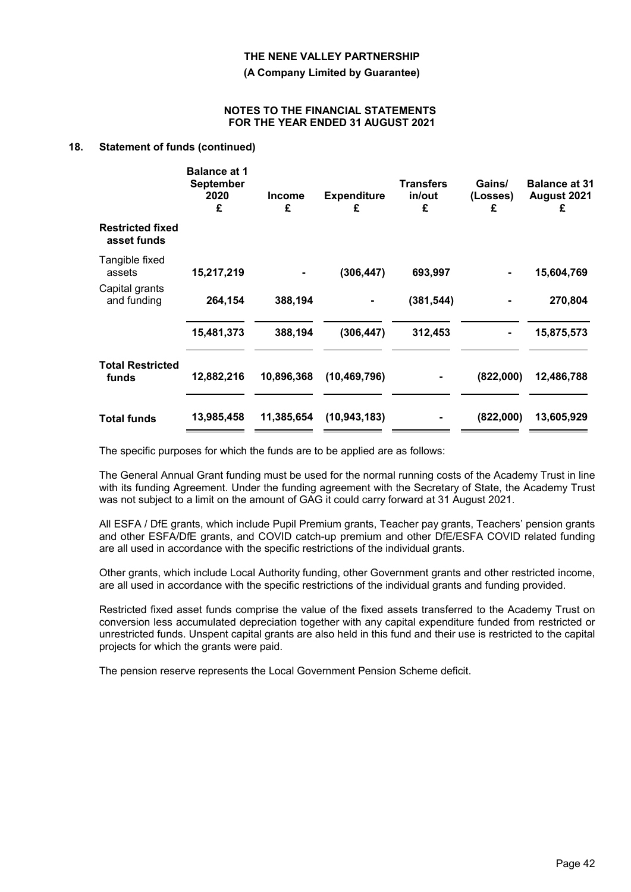**(A Company Limited by Guarantee)**

#### **NOTES TO THE FINANCIAL STATEMENTS FOR THE YEAR ENDED 31 AUGUST 2021**

#### **18. Statement of funds (continued)**

|                                        | <b>Balance at 1</b><br><b>September</b><br>2020<br>£ | <b>Income</b><br>£ | <b>Expenditure</b><br>£ | <b>Transfers</b><br>in/out<br>£ | Gains/<br>(Losses)<br>£ | <b>Balance at 31</b><br>August 2021<br>£ |
|----------------------------------------|------------------------------------------------------|--------------------|-------------------------|---------------------------------|-------------------------|------------------------------------------|
| <b>Restricted fixed</b><br>asset funds |                                                      |                    |                         |                                 |                         |                                          |
| Tangible fixed<br>assets               | 15,217,219                                           |                    | (306, 447)              | 693,997                         |                         | 15,604,769                               |
| Capital grants<br>and funding          | 264,154                                              | 388,194            |                         | (381, 544)                      |                         | 270,804                                  |
|                                        | 15,481,373                                           | 388,194            | (306, 447)              | 312,453                         |                         | 15,875,573                               |
| <b>Total Restricted</b><br>funds       | 12,882,216                                           | 10,896,368         | (10, 469, 796)          |                                 | (822,000)               | 12,486,788                               |
| <b>Total funds</b>                     | 13,985,458                                           | 11,385,654         | (10, 943, 183)          |                                 | (822,000)               | 13,605,929                               |
|                                        |                                                      |                    |                         |                                 |                         |                                          |

The specific purposes for which the funds are to be applied are as follows:

The General Annual Grant funding must be used for the normal running costs of the Academy Trust in line with its funding Agreement. Under the funding agreement with the Secretary of State, the Academy Trust was not subject to a limit on the amount of GAG it could carry forward at 31 August 2021.

All ESFA / DfE grants, which include Pupil Premium grants, Teacher pay grants, Teachers' pension grants and other ESFA/DfE grants, and COVID catch-up premium and other DfE/ESFA COVID related funding are all used in accordance with the specific restrictions of the individual grants.

Other grants, which include Local Authority funding, other Government grants and other restricted income, are all used in accordance with the specific restrictions of the individual grants and funding provided.

Restricted fixed asset funds comprise the value of the fixed assets transferred to the Academy Trust on conversion less accumulated depreciation together with any capital expenditure funded from restricted or unrestricted funds. Unspent capital grants are also held in this fund and their use is restricted to the capital projects for which the grants were paid.

The pension reserve represents the Local Government Pension Scheme deficit.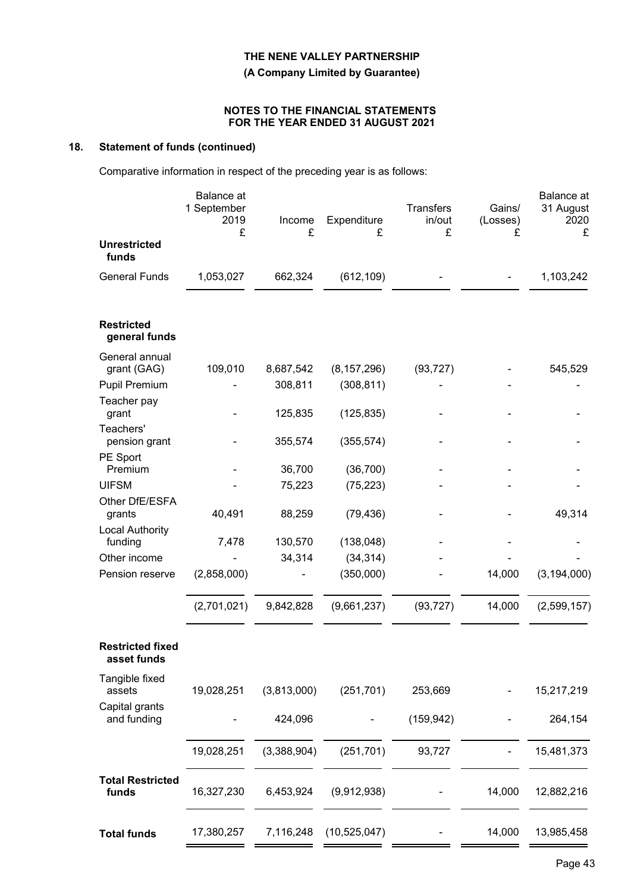**(A Company Limited by Guarantee)**

#### **NOTES TO THE FINANCIAL STATEMENTS FOR THE YEAR ENDED 31 AUGUST 2021**

# **18. Statement of funds (continued)**

Comparative information in respect of the preceding year is as follows:

|                                        | Balance at<br>1 September<br>2019<br>£ | Income<br>£ | Expenditure<br>£ | <b>Transfers</b><br>in/out<br>£ | Gains/<br>(Losses)<br>£ | Balance at<br>31 August<br>2020<br>£ |
|----------------------------------------|----------------------------------------|-------------|------------------|---------------------------------|-------------------------|--------------------------------------|
| <b>Unrestricted</b><br>funds           |                                        |             |                  |                                 |                         |                                      |
| <b>General Funds</b>                   | 1,053,027                              | 662,324     | (612, 109)       |                                 |                         | 1,103,242                            |
| <b>Restricted</b><br>general funds     |                                        |             |                  |                                 |                         |                                      |
| General annual<br>grant (GAG)          | 109,010                                | 8,687,542   | (8, 157, 296)    | (93, 727)                       |                         | 545,529                              |
| <b>Pupil Premium</b>                   |                                        | 308,811     | (308, 811)       |                                 |                         |                                      |
| Teacher pay<br>grant                   |                                        | 125,835     | (125, 835)       |                                 |                         |                                      |
| Teachers'<br>pension grant             |                                        | 355,574     | (355, 574)       |                                 |                         |                                      |
| PE Sport<br>Premium                    |                                        | 36,700      | (36, 700)        |                                 |                         |                                      |
| <b>UIFSM</b>                           |                                        | 75,223      | (75, 223)        |                                 |                         |                                      |
| Other DfE/ESFA<br>grants               | 40,491                                 | 88,259      | (79, 436)        |                                 |                         | 49,314                               |
| <b>Local Authority</b><br>funding      | 7,478                                  | 130,570     | (138, 048)       |                                 |                         |                                      |
| Other income                           |                                        | 34,314      | (34, 314)        |                                 |                         |                                      |
| Pension reserve                        | (2,858,000)                            |             | (350,000)        |                                 | 14,000                  | (3, 194, 000)                        |
|                                        | (2,701,021)                            | 9,842,828   | (9,661,237)      | (93, 727)                       | 14,000                  | (2,599,157)                          |
| <b>Restricted fixed</b><br>asset funds |                                        |             |                  |                                 |                         |                                      |
| Tangible fixed<br>assets               | 19,028,251                             | (3,813,000) | (251, 701)       | 253,669                         |                         | 15,217,219                           |
| Capital grants<br>and funding          |                                        | 424,096     |                  | (159, 942)                      |                         | 264,154                              |
|                                        | 19,028,251                             | (3,388,904) | (251, 701)       | 93,727                          |                         | 15,481,373                           |
| <b>Total Restricted</b><br>funds       | 16,327,230                             | 6,453,924   | (9,912,938)      |                                 | 14,000                  | 12,882,216                           |
| <b>Total funds</b>                     | 17,380,257                             | 7,116,248   | (10, 525, 047)   |                                 | 14,000                  | 13,985,458                           |
|                                        |                                        |             |                  |                                 |                         |                                      |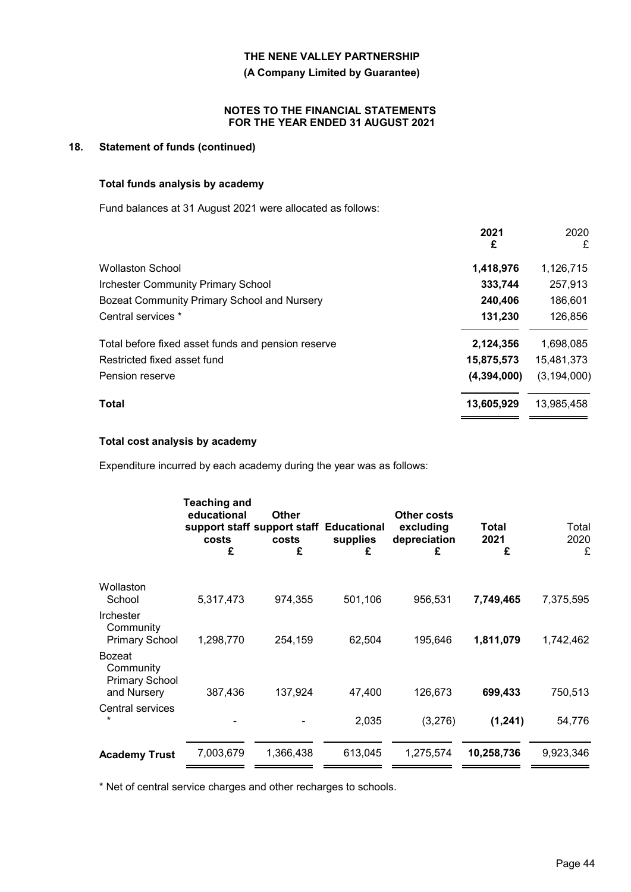**(A Company Limited by Guarantee)**

#### **NOTES TO THE FINANCIAL STATEMENTS FOR THE YEAR ENDED 31 AUGUST 2021**

# **18. Statement of funds (continued)**

# **Total funds analysis by academy**

Fund balances at 31 August 2021 were allocated as follows:

|                                                    | 2021<br>£   | 2020<br>£     |
|----------------------------------------------------|-------------|---------------|
| <b>Wollaston School</b>                            | 1,418,976   | 1,126,715     |
| <b>Irchester Community Primary School</b>          | 333,744     | 257,913       |
| Bozeat Community Primary School and Nursery        | 240,406     | 186,601       |
| Central services *                                 | 131,230     | 126,856       |
| Total before fixed asset funds and pension reserve | 2,124,356   | 1,698,085     |
| Restricted fixed asset fund                        | 15,875,573  | 15,481,373    |
| Pension reserve                                    | (4,394,000) | (3, 194, 000) |
| <b>Total</b>                                       | 13,605,929  | 13,985,458    |

#### **Total cost analysis by academy**

Expenditure incurred by each academy during the year was as follows:

|                                                                    | <b>Teaching and</b><br>educational<br>support staff support staff Educational<br>costs<br>£ | <b>Other</b><br>costs<br>£ | supplies<br>£ | Other costs<br>excluding<br>depreciation<br>£ | Total<br>2021<br>£ | Total<br>2020<br>£ |
|--------------------------------------------------------------------|---------------------------------------------------------------------------------------------|----------------------------|---------------|-----------------------------------------------|--------------------|--------------------|
| Wollaston<br>School                                                | 5,317,473                                                                                   | 974,355                    | 501,106       | 956,531                                       | 7,749,465          | 7,375,595          |
| <b>Irchester</b><br>Community<br><b>Primary School</b>             | 1,298,770                                                                                   | 254,159                    | 62,504        | 195,646                                       | 1,811,079          | 1,742,462          |
| <b>Bozeat</b><br>Community<br><b>Primary School</b><br>and Nursery | 387,436                                                                                     | 137,924                    | 47,400        | 126,673                                       | 699,433            | 750,513            |
| Central services<br>$\star$                                        |                                                                                             |                            | 2,035         | (3,276)                                       | (1,241)            | 54,776             |
| <b>Academy Trust</b>                                               | 7,003,679                                                                                   | 1,366,438                  | 613,045       | 1,275,574                                     | 10,258,736         | 9,923,346          |

\* Net of central service charges and other recharges to schools.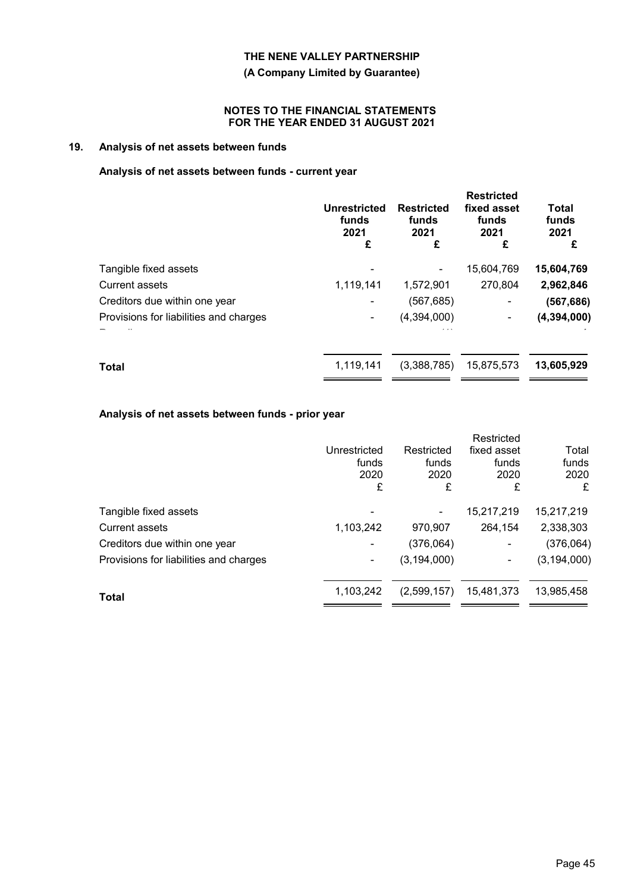**(A Company Limited by Guarantee)**

#### **NOTES TO THE FINANCIAL STATEMENTS FOR THE YEAR ENDED 31 AUGUST 2021**

# **19. Analysis of net assets between funds**

# **Analysis of net assets between funds - current year**

| <b>Unrestricted</b><br>funds<br>2021<br>£ | <b>Restricted</b><br>funds<br>2021<br>£ | <b>Restricted</b><br>fixed asset<br>funds<br>2021<br>£ | <b>Total</b><br>funds<br>2021<br>£ |
|-------------------------------------------|-----------------------------------------|--------------------------------------------------------|------------------------------------|
|                                           |                                         | 15,604,769                                             | 15,604,769                         |
| 1,119,141                                 | 1,572,901                               | 270,804                                                | 2,962,846                          |
|                                           | (567,685)                               | ۰                                                      | (567, 686)                         |
|                                           | (4,394,000)                             |                                                        | (4, 394, 000)                      |
| 1,119,141                                 | (3,388,785)                             | 15,875,573                                             | 13,605,929                         |
|                                           |                                         |                                                        |                                    |

# **Analysis of net assets between funds - prior year**

|                                        |              |               | Restricted     |               |
|----------------------------------------|--------------|---------------|----------------|---------------|
|                                        | Unrestricted | Restricted    | fixed asset    | Total         |
|                                        | funds        | funds         | funds          | funds         |
|                                        | 2020         | 2020          | 2020           | 2020          |
|                                        | £            | £             | £              | £             |
| Tangible fixed assets                  |              |               | 15,217,219     | 15,217,219    |
| <b>Current assets</b>                  | 1,103,242    | 970,907       | 264,154        | 2,338,303     |
| Creditors due within one year          |              | (376,064)     | $\blacksquare$ | (376,064)     |
| Provisions for liabilities and charges | ۰            | (3, 194, 000) | ۰              | (3, 194, 000) |
| Total                                  | 1,103,242    | (2,599,157)   | 15,481,373     | 13,985,458    |
|                                        |              |               |                |               |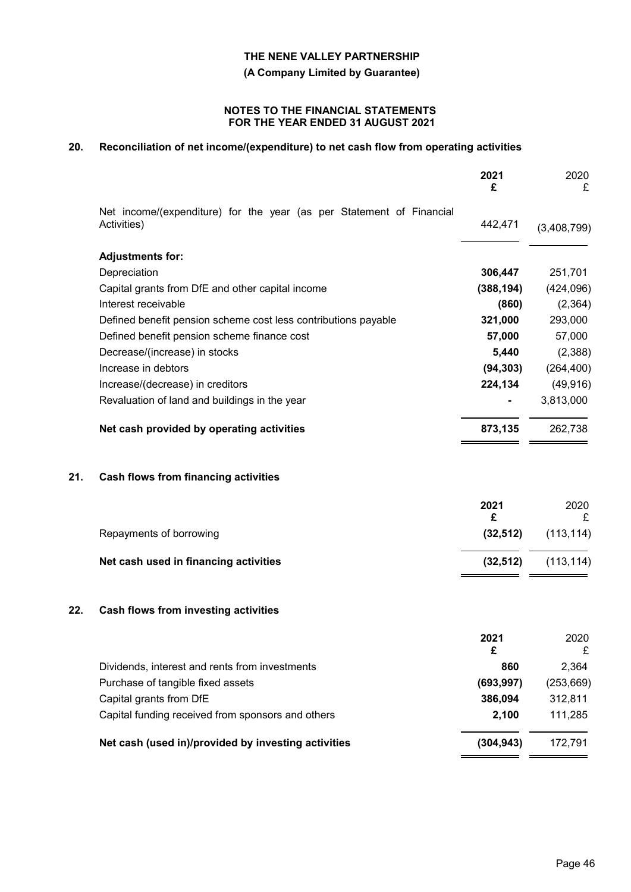**(A Company Limited by Guarantee)**

#### **NOTES TO THE FINANCIAL STATEMENTS FOR THE YEAR ENDED 31 AUGUST 2021**

# **20. Reconciliation of net income/(expenditure) to net cash flow from operating activities**

|     |                                                                                     | 2021<br>£  | 2020<br>£   |
|-----|-------------------------------------------------------------------------------------|------------|-------------|
|     | Net income/(expenditure) for the year (as per Statement of Financial<br>Activities) | 442,471    | (3,408,799) |
|     |                                                                                     |            |             |
|     | <b>Adjustments for:</b>                                                             |            |             |
|     | Depreciation                                                                        | 306,447    | 251,701     |
|     | Capital grants from DfE and other capital income                                    | (388, 194) | (424,096)   |
|     | Interest receivable                                                                 | (860)      | (2, 364)    |
|     | Defined benefit pension scheme cost less contributions payable                      | 321,000    | 293,000     |
|     | Defined benefit pension scheme finance cost                                         | 57,000     | 57,000      |
|     | Decrease/(increase) in stocks                                                       | 5,440      | (2,388)     |
|     | Increase in debtors                                                                 | (94, 303)  | (264, 400)  |
|     | Increase/(decrease) in creditors                                                    | 224,134    | (49, 916)   |
|     | Revaluation of land and buildings in the year                                       |            | 3,813,000   |
|     | Net cash provided by operating activities                                           | 873,135    | 262,738     |
| 21. | <b>Cash flows from financing activities</b>                                         |            |             |
|     |                                                                                     | 2021       | 2020        |
|     |                                                                                     | £          | £           |
|     | Repayments of borrowing                                                             | (32, 512)  | (113, 114)  |
|     | Net cash used in financing activities                                               | (32, 512)  | (113, 114)  |
| 22. | Cash flows from investing activities                                                |            |             |
|     |                                                                                     | 2021       | 2020        |
|     |                                                                                     | £          | £           |
|     | Dividends, interest and rents from investments                                      | 860        | 2,364       |
|     | Purchase of tangible fixed assets                                                   | (693, 997) | (253, 669)  |
|     | Capital grants from DfE                                                             | 386,094    | 312,811     |
|     | Capital funding received from sponsors and others                                   | 2,100      | 111,285     |
|     | Net cash (used in)/provided by investing activities                                 | (304, 943) | 172,791     |
|     |                                                                                     |            |             |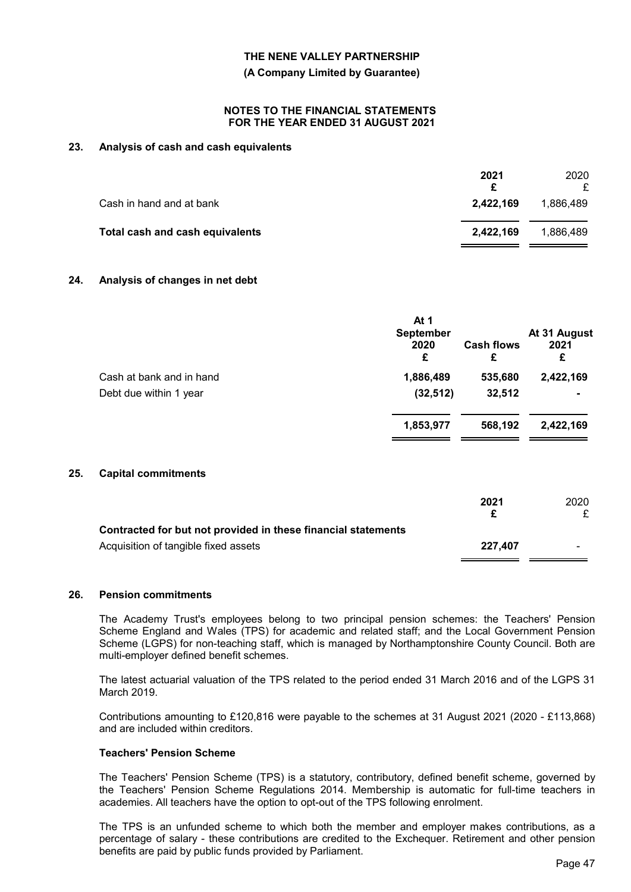**(A Company Limited by Guarantee)**

#### **NOTES TO THE FINANCIAL STATEMENTS FOR THE YEAR ENDED 31 AUGUST 2021**

### **23. Analysis of cash and cash equivalents**

|                                 | 2021<br>£ | 2020      |
|---------------------------------|-----------|-----------|
| Cash in hand and at bank        | 2.422.169 | 1.886.489 |
| Total cash and cash equivalents | 2.422.169 | 1.886.489 |

#### **24. Analysis of changes in net debt**

|                          | At 1<br><b>September</b><br>2020<br>£ | <b>Cash flows</b><br>£ | At 31 August<br>2021<br>£ |
|--------------------------|---------------------------------------|------------------------|---------------------------|
| Cash at bank and in hand | 1,886,489                             | 535,680                | 2,422,169                 |
| Debt due within 1 year   | (32, 512)                             | 32,512                 | $\blacksquare$            |
|                          | 1,853,977                             | 568,192                | 2,422,169                 |

#### **25. Capital commitments**

|                                                               | 2021    | 2020           |
|---------------------------------------------------------------|---------|----------------|
|                                                               |         |                |
| Contracted for but not provided in these financial statements |         |                |
| Acquisition of tangible fixed assets                          | 227.407 | $\blacksquare$ |

#### **26. Pension commitments**

The Academy Trust's employees belong to two principal pension schemes: the Teachers' Pension Scheme England and Wales (TPS) for academic and related staff; and the Local Government Pension Scheme (LGPS) for non-teaching staff, which is managed by Northamptonshire County Council. Both are multi-employer defined benefit schemes.

The latest actuarial valuation of the TPS related to the period ended 31 March 2016 and of the LGPS 31 March 2019.

Contributions amounting to £120,816 were payable to the schemes at 31 August 2021 (2020 - £113,868) and are included within creditors.

#### **Teachers' Pension Scheme**

The Teachers' Pension Scheme (TPS) is a statutory, contributory, defined benefit scheme, governed by the Teachers' Pension Scheme Regulations 2014. Membership is automatic for full-time teachers in academies. All teachers have the option to opt-out of the TPS following enrolment.

The TPS is an unfunded scheme to which both the member and employer makes contributions, as a percentage of salary - these contributions are credited to the Exchequer. Retirement and other pension benefits are paid by public funds provided by Parliament.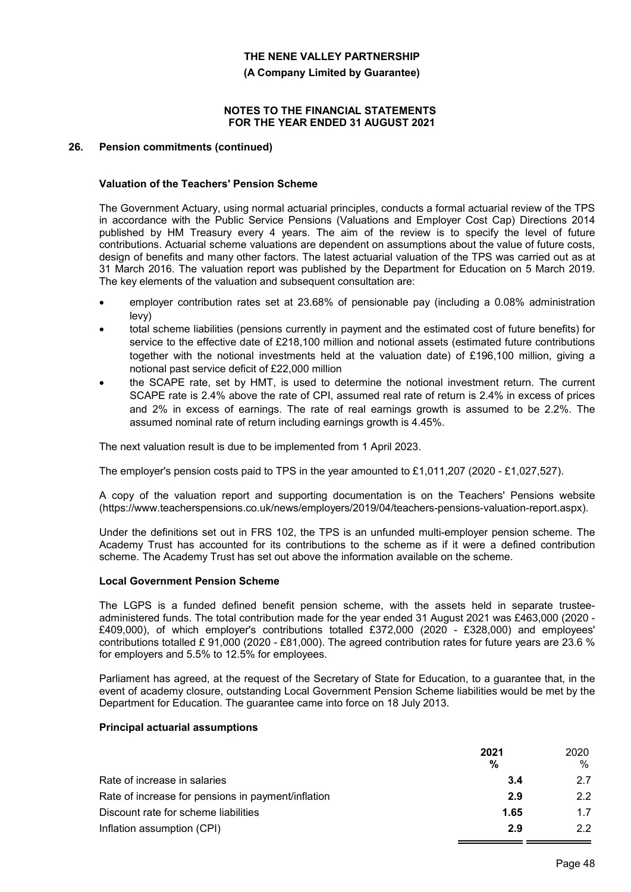**(A Company Limited by Guarantee)**

#### **NOTES TO THE FINANCIAL STATEMENTS FOR THE YEAR ENDED 31 AUGUST 2021**

#### **26. Pension commitments (continued)**

#### **Valuation of the Teachers' Pension Scheme**

The Government Actuary, using normal actuarial principles, conducts a formal actuarial review of the TPS in accordance with the Public Service Pensions (Valuations and Employer Cost Cap) Directions 2014 published by HM Treasury every 4 years. The aim of the review is to specify the level of future contributions. Actuarial scheme valuations are dependent on assumptions about the value of future costs, design of benefits and many other factors. The latest actuarial valuation of the TPS was carried out as at 31 March 2016. The valuation report was published by the Department for Education on 5 March 2019. The key elements of the valuation and subsequent consultation are:

- employer contribution rates set at 23.68% of pensionable pay (including a 0.08% administration levy)
- total scheme liabilities (pensions currently in payment and the estimated cost of future benefits) for service to the effective date of £218,100 million and notional assets (estimated future contributions together with the notional investments held at the valuation date) of £196,100 million, giving a notional past service deficit of £22,000 million
- the SCAPE rate, set by HMT, is used to determine the notional investment return. The current SCAPE rate is 2.4% above the rate of CPI, assumed real rate of return is 2.4% in excess of prices and 2% in excess of earnings. The rate of real earnings growth is assumed to be 2.2%. The assumed nominal rate of return including earnings growth is 4.45%.

The next valuation result is due to be implemented from 1 April 2023.

The employer's pension costs paid to TPS in the year amounted to £1,011,207 (2020 - £1,027,527).

A copy of the valuation report and supporting documentation is on the Teachers' Pensions website (https://www.teacherspensions.co.uk/news/employers/2019/04/teachers-pensions-valuation-report.aspx).

Under the definitions set out in FRS 102, the TPS is an unfunded multi-employer pension scheme. The Academy Trust has accounted for its contributions to the scheme as if it were a defined contribution scheme. The Academy Trust has set out above the information available on the scheme.

#### **Local Government Pension Scheme**

The LGPS is a funded defined benefit pension scheme, with the assets held in separate trusteeadministered funds. The total contribution made for the year ended 31 August 2021 was £463,000 (2020 - £409,000), of which employer's contributions totalled £372,000 (2020 - £328,000) and employees' contributions totalled £ 91,000 (2020 - £81,000). The agreed contribution rates for future years are 23.6 % for employers and 5.5% to 12.5% for employees.

Parliament has agreed, at the request of the Secretary of State for Education, to a guarantee that, in the event of academy closure, outstanding Local Government Pension Scheme liabilities would be met by the Department for Education. The guarantee came into force on 18 July 2013.

### **Principal actuarial assumptions**

|                                                    | 2021 | 2020 |
|----------------------------------------------------|------|------|
|                                                    | %    | %    |
| Rate of increase in salaries                       | 3.4  | 27   |
| Rate of increase for pensions in payment/inflation | 2.9  | 2.2  |
| Discount rate for scheme liabilities               | 1.65 | 1.7  |
| Inflation assumption (CPI)                         | 2.9  | 22   |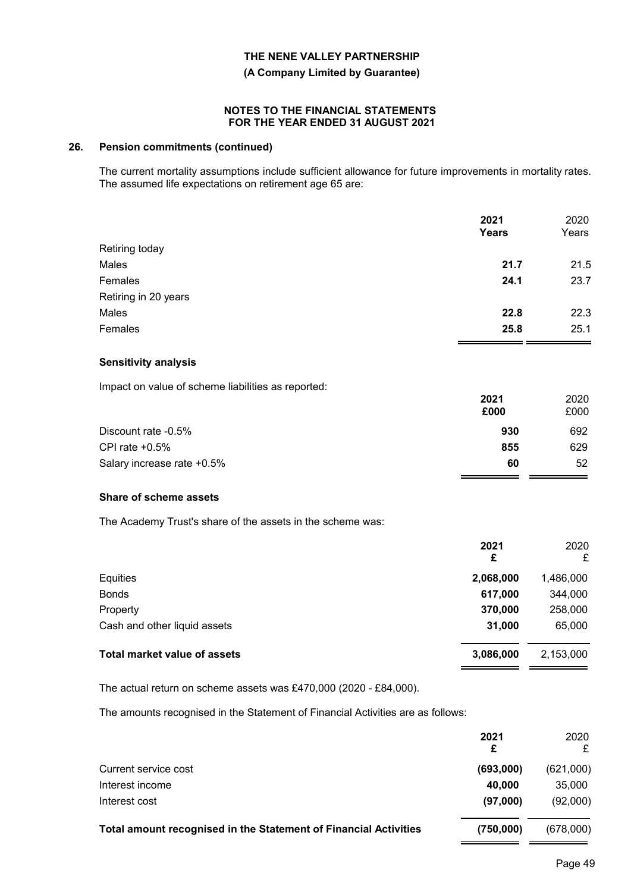**(A Company Limited by Guarantee)**

#### **NOTES TO THE FINANCIAL STATEMENTS FOR THE YEAR ENDED 31 AUGUST 2021**

#### **26. Pension commitments (continued)**

The current mortality assumptions include sufficient allowance for future improvements in mortality rates. The assumed life expectations on retirement age 65 are:

|                      | 2021<br>Years | 2020<br>Years |
|----------------------|---------------|---------------|
| Retiring today       |               |               |
| Males                | 21.7          | 21.5          |
| Females              | 24.1          | 23.7          |
| Retiring in 20 years |               |               |
| Males                | 22.8          | 22.3          |
| Females              | 25.8          | 25.1          |
|                      |               |               |

#### **Sensitivity analysis**

Impact on value of scheme liabilities as reported:

|                            | 2021<br>£000 | 2020<br>£000 |
|----------------------------|--------------|--------------|
| Discount rate -0.5%        | 930          | 692          |
| CPI rate $+0.5%$           | 855          | 629          |
| Salary increase rate +0.5% | 60           | 52           |

#### **Share of scheme assets**

The Academy Trust's share of the assets in the scheme was:

|                                     | 2021<br>£ | 2020<br>£ |
|-------------------------------------|-----------|-----------|
| Equities                            | 2,068,000 | 1,486,000 |
| <b>Bonds</b>                        | 617,000   | 344,000   |
| Property                            | 370,000   | 258,000   |
| Cash and other liquid assets        | 31,000    | 65,000    |
| <b>Total market value of assets</b> | 3,086,000 | 2,153,000 |

The actual return on scheme assets was £470,000 (2020 - £84,000).

The amounts recognised in the Statement of Financial Activities are as follows:

|                                                                         | 2021<br>£ | 2020<br>£ |
|-------------------------------------------------------------------------|-----------|-----------|
| Current service cost                                                    | (693,000) | (621,000) |
| Interest income                                                         | 40,000    | 35,000    |
| Interest cost                                                           | (97,000)  | (92,000)  |
| <b>Total amount recognised in the Statement of Financial Activities</b> | (750,000) | (678,000) |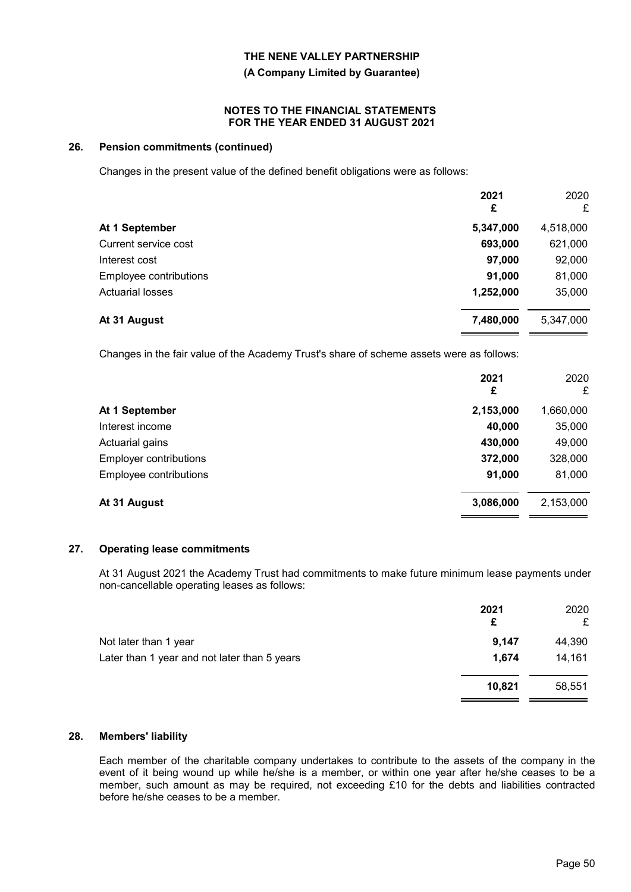**(A Company Limited by Guarantee)**

#### **NOTES TO THE FINANCIAL STATEMENTS FOR THE YEAR ENDED 31 AUGUST 2021**

#### **26. Pension commitments (continued)**

Changes in the present value of the defined benefit obligations were as follows:

|                         | 2021<br>£ | 2020<br>£ |
|-------------------------|-----------|-----------|
| At 1 September          | 5,347,000 | 4,518,000 |
| Current service cost    | 693,000   | 621,000   |
| Interest cost           | 97,000    | 92,000    |
| Employee contributions  | 91,000    | 81,000    |
| <b>Actuarial losses</b> | 1,252,000 | 35,000    |
| At 31 August            | 7,480,000 | 5,347,000 |

Changes in the fair value of the Academy Trust's share of scheme assets were as follows:

| 2021<br>£ | 2020<br>£ |
|-----------|-----------|
| 2,153,000 | 1,660,000 |
| 40,000    | 35,000    |
| 430,000   | 49,000    |
| 372,000   | 328,000   |
| 91,000    | 81,000    |
| 3,086,000 | 2,153,000 |
|           |           |

### **27. Operating lease commitments**

At 31 August 2021 the Academy Trust had commitments to make future minimum lease payments under non-cancellable operating leases as follows:

|                                              | 2021<br>£ | 2020<br>£ |
|----------------------------------------------|-----------|-----------|
| Not later than 1 year                        | 9,147     | 44,390    |
| Later than 1 year and not later than 5 years | 1,674     | 14,161    |
|                                              | 10,821    | 58,551    |

### **28. Members' liability**

Each member of the charitable company undertakes to contribute to the assets of the company in the event of it being wound up while he/she is a member, or within one year after he/she ceases to be a member, such amount as may be required, not exceeding £10 for the debts and liabilities contracted before he/she ceases to be a member.